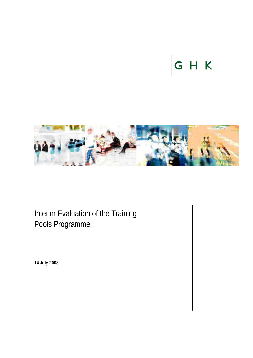# $|G|H|K$



Interim Evaluation of the Training Pools Programme

**14 July 2008**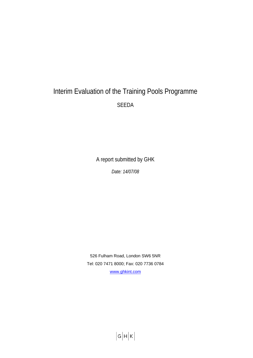# Interim Evaluation of the Training Pools Programme SEEDA

A report submitted by GHK

*Date: 14/07/08* 

526 Fulham Road, London SW6 5NR Tel: 020 7471 8000; Fax: 020 7736 0784 [www.ghkint.com](http://www.ghkint.com/)

 $|G|H|K$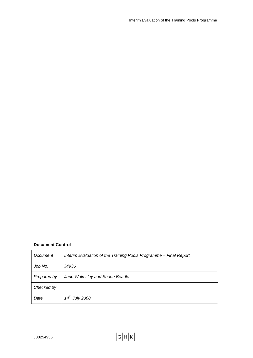# **Document Control**

| Document    | Interim Evaluation of the Training Pools Programme - Final Report |
|-------------|-------------------------------------------------------------------|
| Job No.     | J4936                                                             |
| Prepared by | Jane Walmsley and Shane Beadle                                    |
| Checked by  |                                                                   |
| Date        | $14^{th}$ July 2008                                               |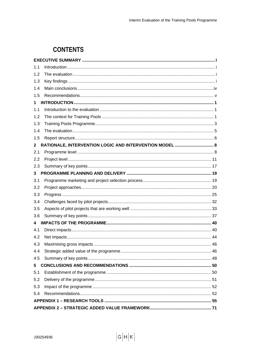# **CONTENTS**

| 1.1          |                                                         |  |  |
|--------------|---------------------------------------------------------|--|--|
| 1.2          |                                                         |  |  |
| 1.3          |                                                         |  |  |
| 1.4          |                                                         |  |  |
| 1.5          |                                                         |  |  |
| 1.           |                                                         |  |  |
| 1.1          |                                                         |  |  |
| 1.2          |                                                         |  |  |
| 1.3          |                                                         |  |  |
| 1.4          |                                                         |  |  |
| 1.5          |                                                         |  |  |
| $\mathbf{2}$ | RATIONALE, INTERVENTION LOGIC AND INTERVENTION MODEL  8 |  |  |
| 2.1          |                                                         |  |  |
| 2.2          |                                                         |  |  |
| 2.3          |                                                         |  |  |
| 3            |                                                         |  |  |
| 3.1          |                                                         |  |  |
| 3.2          |                                                         |  |  |
| 3.3          |                                                         |  |  |
| 3.4          |                                                         |  |  |
| 3.5          |                                                         |  |  |
| 3.6          |                                                         |  |  |
| 4            |                                                         |  |  |
| 4.1          |                                                         |  |  |
| 4.2          |                                                         |  |  |
| 4.3          |                                                         |  |  |
| 4.4          |                                                         |  |  |
| 4.5          |                                                         |  |  |
| 5            |                                                         |  |  |
| 5.1          |                                                         |  |  |
| 5.2          |                                                         |  |  |
| 5.3          |                                                         |  |  |
| 5.4          |                                                         |  |  |
|              |                                                         |  |  |
|              |                                                         |  |  |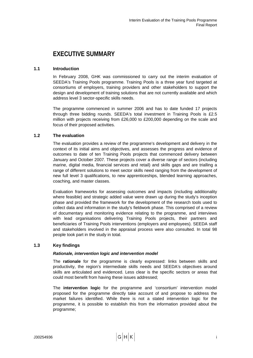# <span id="page-4-0"></span>**EXECUTIVE SUMMARY**

# **1.1 Introduction**

In February 2008, GHK was commissioned to carry out the interim evaluation of SEEDA's Training Pools programme. Training Pools is a three year fund targeted at consortiums of employers, training providers and other stakeholders to support the design and development of training solutions that are not currently available and which address level 3 sector-specific skills needs.

The programme commenced in summer 2006 and has to date funded 17 projects through three bidding rounds. SEEDA's total investment in Training Pools is £2.5 million with projects receiving from £26,000 to £200,000 depending on the scale and focus of their proposed activities.

# **1.2 The evaluation**

The evaluation provides a review of the programme's development and delivery in the context of its initial aims and objectives, and assesses the progress and evidence of outcomes to date of ten Training Pools projects that commenced delivery between January and October 2007. These projects cover a diverse range of sectors (including marine, digital media, financial services and retail) and skills gaps and are trialling a range of different solutions to meet sector skills need ranging from the development of new full level 3 qualifications, to new apprenticeships, blended learning approaches, coaching, and master classes.

Evaluation frameworks for assessing outcomes and impacts (including additionality where feasible) and strategic added value were drawn up during the study's inception phase and provided the framework for the development of the research tools used to collect data and information in the study's fieldwork phase. This comprised of a review of documentary and monitoring evidence relating to the programme, and interviews with lead organisations delivering Training Pools projects, their partners and beneficiaries of Training Pools interventions (employers and employees). SEEDA staff and stakeholders involved in the appraisal process were also consulted. In total 98 people took part in the study in total.

# **1.3 Key findings**

# *Rationale, intervention logic and intervention model*

The **rationale** for the programme is clearly expressed: links between skills and productivity, the region's intermediate skills needs and SEEDA's objectives around skills are articulated and evidenced. Less clear is the specific sectors or areas that could most benefit from having these issues addressed;

The **intervention logic** for the programme and 'consortium' intervention model proposed for the programme directly take account of and propose to address the market failures identified. While there is not a stated intervention logic for the programme, it is possible to establish this from the information provided about the programme;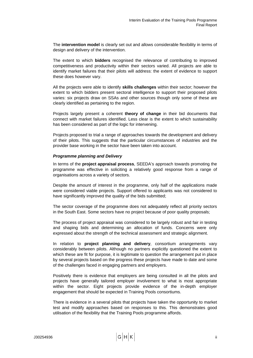The **intervention model** is clearly set out and allows considerable flexibility in terms of design and delivery of the intervention.

The extent to which **bidders** recognised the relevance of contributing to improved competitiveness and productivity within their sectors varied. All projects are able to identify market failures that their pilots will address: the extent of evidence to support these does however vary.

All the projects were able to identify **skills challenges** within their sector; however the extent to which bidders present sectoral intelligence to support their proposed pilots varies: six projects draw on SSAs and other sources though only some of these are clearly identified as pertaining to the region.

Projects largely present a coherent **theory of change** in their bid documents that connect with market failures identified. Less clear is the extent to which sustainability has been considered as part of the logic for intervening.

Projects proposed to trial a range of approaches towards the development and delivery of their pilots. This suggests that the particular circumstances of industries and the provider base working in the sector have been taken into account.

## *Programme planning and Delivery*

In terms of the **project appraisal process**, SEEDA's approach towards promoting the programme was effective in soliciting a relatively good response from a range of organisations across a variety of sectors.

Despite the amount of interest in the programme, only half of the applications made were considered viable projects. Support offered to applicants was not considered to have significantly improved the quality of the bids submitted;

The sector coverage of the programme does not adequately reflect all priority sectors in the South East. Some sectors have no project because of poor quality proposals;

The process of project appraisal was considered to be largely robust and fair in testing and shaping bids and determining an allocation of funds. Concerns were only expressed about the strength of the technical assessment and strategic alignment.

In relation to **project planning and delivery**, consortium arrangements vary considerably between pilots. Although no partners explicitly questioned the extent to which these are fit for purpose, it is legitimate to question the arrangement put in place by several projects based on the progress these projects have made to date and some of the challenges faced in engaging partners and employers.

Positively there is evidence that employers are being consulted in all the pilots and projects have generally tailored employer involvement to what is most appropriate within the sector. Eight projects provide evidence of the in-depth employer engagement that should be expected in Training Pools consortiums.

There is evidence in a several pilots that projects have taken the opportunity to market test and modify approaches based on responses to this. This demonstrates good utilisation of the flexibility that the Training Pools programme affords.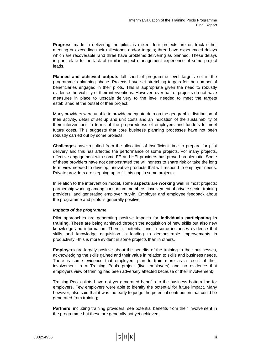**Progress** made in delivering the pilots is mixed: four projects are on track either meeting or exceeding their milestones and/or targets; three have experienced delays which are recoverable; and three have problems delivering as planned. These delays in part relate to the lack of similar project management experience of some project leads.

**Planned and achieved outputs** fall short of programme level targets set in the programme's planning phase. Projects have set stretching targets for the number of beneficiaries engaged in their pilots. This is appropriate given the need to robustly evidence the viability of their interventions. However, over half of projects do not have measures in place to upscale delivery to the level needed to meet the targets established at the outset of their project;

Many providers were unable to provide adequate data on the geographic distribution of their activity, detail of set up and unit costs and an indication of the sustainability of their interventions in terms of the preparedness of employers and funders to meet future costs. This suggests that core business planning processes have not been robustly carried out by some projects;

**Challenges** have resulted from the allocation of insufficient time to prepare for pilot delivery and this has affected the performance of some projects. For many projects, effective engagement with some FE and HEI providers has proved problematic. Some of these providers have not demonstrated the willingness to share risk or take the long term view needed to develop innovative products that will respond to employer needs. Private providers are stepping up to fill this gap in some projects;

In relation to the intervention model, some **aspects are working well** in most projects: partnership working among consortium members, involvement of private sector training providers, and generating employer buy-in. Employer and employee feedback about the programme and pilots is generally positive.

## *Impacts of the programme*

Pilot approaches are generating positive impacts for **individuals participating in training**. These are being achieved through the acquisition of new skills but also new knowledge and information. There is potential and in some instances evidence that skills and knowledge acquisition is leading to demonstrable improvements in productivity –this is more evident in some projects than in others.

**Employers** are largely positive about the benefits of the training to their businesses, acknowledging the skills gained and their value in relation to skills and business needs. There is some evidence that employers plan to train more as a result of their involvement in a Training Pools project (five employers) and no evidence that employers view of training had been adversely affected because of their involvement;

Training Pools pilots have not yet generated benefits to the business bottom line for employers. Few employers were able to identify the potential for future impact. Many however, also said that it was too early to judge the potential contribution that could be generated from training;

**Partners**, including training providers, see potential benefits from their involvement in the programme but these are generally not yet achieved.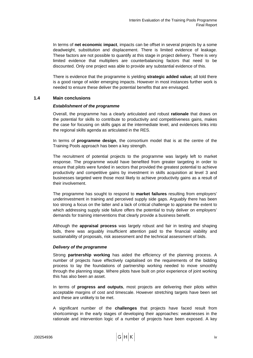<span id="page-7-0"></span>In terms of **net economic impact**, impacts can be offset in several projects by a some deadweight, substitution and displacement. There is limited evidence of leakage. These factors are not possible to quantify at this stage in project delivery. There is very limited evidence that multipliers are counterbalancing factors that need to be discounted. Only one project was able to provide any substantial evidence of this.

There is evidence that the programme is yielding **strategic added value;** all told there is a good range of wider emerging impacts. However in most instances further work is needed to ensure these deliver the potential benefits that are envisaged.

# **1.4 Main conclusions**

## *Establishment of the programme*

Overall, the programme has a clearly articulated and robust **rationale** that draws on the potential for skills to contribute to productivity and competitiveness gains, makes the case for focusing on skills gaps at the intermediate level, and evidences links into the regional skills agenda as articulated in the RES.

In terms of **programme design**, the consortium model that is at the centre of the Training Pools approach has been a key strength.

The recruitment of potential projects to the programme was largely left to market response. The programme would have benefited from greater targeting in order to ensure that pilots were funded in sectors that provided the greatest potential to achieve productivity and competitive gains by investment in skills acquisition at level 3 and businesses targeted were those most likely to achieve productivity gains as a result of their involvement.

The programme has sought to respond to **market failures** resulting from employers' underinvestment in training and perceived supply side gaps. Arguably there has been too strong a focus on the latter and a lack of critical challenge to appraise the extent to which addressing supply side failure offers the potential to truly deliver on employers' demands for training interventions that clearly provide a business benefit.

Although the **appraisal process** was largely robust and fair in testing and shaping bids, there was arguably insufficient attention paid to the financial viability and sustainability of proposals, risk assessment and the technical assessment of bids.

# *Delivery of the programme*

Strong **partnership working** has aided the efficiency of the planning process. A number of projects have effectively capitalised on the requirements of the bidding process to lay the foundations of partnership working needed to move smoothly through the planning stage. Where pilots have built on prior experience of joint working this has also been an asset.

In terms of **progress and outputs**, most projects are delivering their pilots within acceptable margins of cost and timescale. However stretching targets have been set and these are unlikely to be met.

A significant number of the **challenges** that projects have faced result from shortcomings in the early stages of developing their approaches: weaknesses in the rationale and intervention logic of a number of projects have been exposed. A key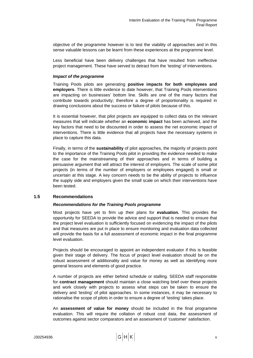<span id="page-8-0"></span>objective of the programme however is to test the viability of approaches and in this sense valuable lessons can be learnt from these experiences at the programme level.

Less beneficial have been delivery challenges that have resulted from ineffective project management. These have served to detract from the 'testing' of interventions.

## *Impact of the programme*

Training Pools pilots are generating **positive impacts for both employees and employers**. There is little evidence to date however, that Training Pools interventions are impacting on businesses' bottom line. Skills are one of the many factors that contribute towards productivity; therefore a degree of proportionality is required in drawing conclusions about the success or failure of pilots because of this.

It is essential however, that pilot projects are equipped to collect data on the relevant measures that will indicate whether an **economic impact** has been achieved, and the key factors that need to be discounted in order to assess the net economic impact of interventions. There is little evidence that all projects have the necessary systems in place to capture this data.

Finally, in terms of the **sustainability** of pilot approaches, the majority of projects point to the importance of the Training Pools pilot in providing the evidence needed to make the case for the mainstreaming of their approaches and in terms of building a persuasive argument that will attract the interest of employers. The scale of some pilot projects (in terms of the number of employers or employees engaged) is small or uncertain at this stage. A key concern needs to be the ability of projects to influence the supply side and employers given the small scale on which their interventions have been tested.

## **1.5 Recommendations**

# *Recommendations for the Training Pools programme*

Most projects have yet to firm up their plans for **evaluation.** This provides the opportunity for SEEDA to provide the advice and support that is needed to ensure that the project level evaluation is sufficiently focused on evidencing the impact of the pilots and that measures are put in place to ensure monitoring and evaluation data collected will provide the basis for a full assessment of economic impact in the final programme level evaluation.

Projects should be encouraged to appoint an independent evaluator if this is feasible given their stage of delivery. The focus of project level evaluation should be on the robust assessment of additionality and value for money as well as identifying more general lessons and elements of good practice.

A number of projects are either behind schedule or stalling. SEEDA staff responsible for **contract management** should maintain a close watching brief over these projects and work closely with projects to assess what steps can be taken to ensure the delivery and 'testing' of pilot approaches. In some instances, it may be necessary to rationalise the scope of pilots in order to ensure a degree of 'testing' takes place.

An **assessment of value for money** should be included in the final programme evaluation. This will require the collation of robust cost data, the assessment of outcomes against sector comparators and an assessment of 'customer' satisfaction.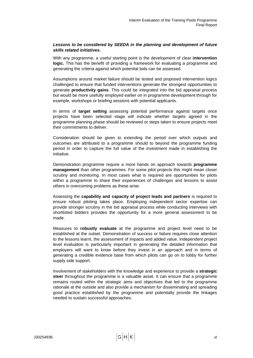# *Lessons to be considered by SEEDA in the planning and development of future skills related initiatives.*

With any programme, a useful starting point is the development of clear **intervention logic.** This has the benefit of providing a framework for evaluating a programme and generating the criteria against which potential bids can be assessed.

Assumptions around market failure should be tested and proposed intervention logics challenged to ensure that funded interventions generate the strongest opportunities to generate **productivity gains**. This could be integrated into the bid appraisal process but would be more usefully employed earlier on in programme development through for example, workshops or briefing sessions with potential applicants.

In terms of **target setting** assessing potential performance against targets once projects have been selected stage will indicate whether targets agreed in the programme planning phase should be reviewed or steps taken to ensure projects meet their commitments to deliver.

Consideration should be given to extending the period over which outputs and outcomes are attributed to a programme should to beyond the programme funding period in order to capture the full value of the investment made in establishing the initiative.

Demonstration programme require a more hands on approach towards **programme management** than other programmes. For some pilot projects this might mean closer scrutiny and monitoring. In most cases what is required are opportunities for pilots within a programme to share their experiences of challenges and lessons to assist others in overcoming problems as these arise.

Assessing the **capability and capacity of project leads and partners** is required to ensure robust piloting takes place. Employing independent sector expertise can provide stronger scrutiny in the bid appraisal process while conducting interviews with shortlisted bidders provides the opportunity for a more general assessment to be made.

Measures to **robustly evaluate** at the programme and project level need to be established at the outset. Demonstration of success or failure requires close attention to the lessons learnt, the assessment of impacts and added value. Independent project level evaluation is particularly important in generating the detailed information that employers will want to know before they invest in an approach and in terms of generating a credible evidence base from which pilots can go on to lobby for further supply side support.

Involvement of stakeholders with the knowledge and experience to provide a **strategic steer** throughout the programme is a valuable asset. It can ensure that a programme remains routed within the strategic aims and objectives that led to the programme rationale at the outside and also provide a mechanism for disseminating and spreading good practice established by the programme and potentially provide the linkages needed to sustain successful approaches.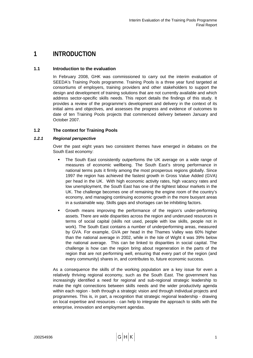# <span id="page-10-0"></span>**1 INTRODUCTION**

# **1.1 Introduction to the evaluation**

In February 2008, GHK was commissioned to carry out the interim evaluation of SEEDA's Training Pools programme. Training Pools is a three year fund targeted at consortiums of employers, training providers and other stakeholders to support the design and development of training solutions that are not currently available and which address sector-specific skills needs. This report details the findings of this study. It provides a review of the programme's development and delivery in the context of its initial aims and objectives, and assesses the progress and evidence of outcomes to date of ten Training Pools projects that commenced delivery between January and October 2007.

# **1.2 The context for Training Pools**

# *1.2.1 Regional perspective*

Over the past eight years two consistent themes have emerged in debates on the South East economy:

- The South East consistently outperforms the UK average on a wide range of measures of economic wellbeing. The South East's strong performance in national terms puts it firmly among the most prosperous regions globally. Since 1997 the region has achieved the fastest growth in Gross Value Added (GVA) per head in the UK. With high economic activity rates, high vacancy rates and low unemployment, the South East has one of the tightest labour markets in the UK. The challenge becomes one of remaining the engine room of the country's economy, and managing continuing economic growth in the more buoyant areas in a sustainable way. Skills gaps and shortages can be inhibiting factors.
- Growth means improving the performance of the region's under-performing assets. There are wide disparities across the region and underused resources in terms of social capital (skills not used, people with low skills, people not in work). The South East contains a number of underperforming areas, measured by GVA. For example, GVA per head in the Thames Valley was 60% higher than the national average in 2002, while in the Isle of Wight it was 39% below the national average. This can be linked to disparities in social capital. The challenge is how can the region bring about regeneration in the parts of the region that are not performing well, ensuring that every part of the region (and every community) shares in, and contributes to, future economic success.

As a consequence the skills of the working population are a key issue for even a relatively thriving regional economy, such as the South East. The government has increasingly identified a need for regional and sub-regional strategic leadership to make the right connections between skills needs and the wider productivity agenda within each region - both through a strategic vision and through individual projects and programmes. This is, in part, a recognition that strategic regional leadership - drawing on local expertise and resources - can help to integrate the approach to skills with the enterprise, innovation and employment agendas.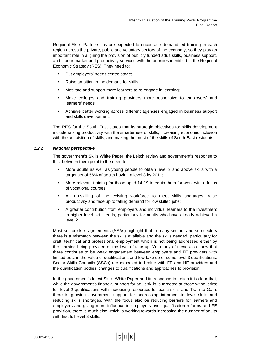Regional Skills Partnerships are expected to encourage demand-led training in each region across the private, public and voluntary sectors of the economy, so they play an important role in aligning the provision of publicly funded adult skills, business support, and labour market and productivity services with the priorities identified in the Regional Economic Strategy (RES). They need to:

- Put employers' needs centre stage;
- Raise ambition in the demand for skills;
- **Motivate and support more learners to re-engage in learning;**
- Make colleges and training providers more responsive to employers' and learners' needs;
- Achieve better working across different agencies engaged in business support and skills development.

The RES for the South East states that its strategic objectives for skills development include raising productivity with the smarter use of skills, increasing economic inclusion with the acquisition of skills, and making the most of the skills of South East residents.

# *1.2.2 National perspective*

The government's Skills White Paper, the Leitch review and government's response to this, between them point to the need for:

- More adults as well as young people to obtain level 3 and above skills with a target set of 56% of adults having a level 3 by 2011;
- More relevant training for those aged 14-19 to equip them for work with a focus of vocational courses;
- An up-skilling of the existing workforce to meet skills shortages, raise productivity and face up to falling demand for low skilled jobs;
- A greater contribution from employers and individual learners to the investment in higher level skill needs, particularly for adults who have already achieved a level 2.

Most sector skills agreements (SSAs) highlight that in many sectors and sub-sectors there is a mismatch between the skills available and the skills needed, particularly for craft, technical and professional employment which is not being addressed either by the learning being provided or the level of take up. Yet many of these also show that there continues to be weak engagement between employers and FE providers with limited trust in the value of qualifications and low take up of some level 3 qualifications. Sector Skills Councils (SSCs) are expected to broker with FE and HE providers and the qualification bodies' changes to qualifications and approaches to provision.

In the government's latest Skills White Paper and its response to Leitch it is clear that, while the government's financial support for adult skills is targeted at those without first full level 2 qualifications with increasing resources for basic skills and Train to Gain, there is growing government support for addressing intermediate level skills and reducing skills shortages. With the focus also on reducing barriers for learners and employers and giving more influence to employers over qualification reforms and FE provision, there is much else which is working towards increasing the number of adults with first full level 3 skills.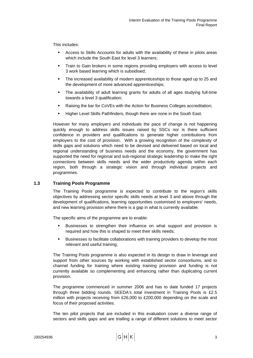<span id="page-12-0"></span>This includes:

- Access to Skills Accounts for adults with the availability of these in pilots areas which include the South East for level 3 learners:
- Train to Gain brokers in some regions providing employers with access to level 3 work based learning which is subsidised;
- The increased availability of modern apprenticeships to those aged up to 25 and the development of more advanced apprenticeships;
- The availability of adult learning grants for adults of all ages studying full-time towards a level 3 qualification;
- Raising the bar for CoVEs with the Action for Business Colleges accreditation;
- Higher Level Skills Pathfinders, though there are none in the South East.

However for many employers and individuals the pace of change is not happening quickly enough to address skills issues raised by SSCs nor is there sufficient confidence in providers and qualifications to generate higher contributions from employers to the cost of provision. With a growing recognition of the complexity of skills gaps and solutions which need to be devised and delivered based on local and regional understanding of business needs and the economy, the government has supported the need for regional and sub-regional strategic leadership to make the right connections between skills needs and the wider productivity agenda within each region, both through a strategic vision and through individual projects and programmes.

# **1.3 Training Pools Programme**

The Training Pools programme is expected to contribute to the region's skills objectives by addressing sector specific skills needs at level 3 and above through the development of qualifications, learning opportunities customised to employers' needs, and new learning provision where there is a gap in what is currently available.

The specific aims of the programme are to enable:

- Businesses to strengthen their influence on what support and provision is required and how this is shaped to meet their skills needs;
- Businesses to facilitate collaborations with training providers to develop the most relevant and useful training;

The Training Pools programme is also expected in its design to draw in leverage and support from other sources by working with established sector consortiums, and to channel funding for training where existing training provision and funding is not currently available so complementing and enhancing rather than duplicating current provision.

The programme commenced in summer 2006 and has to date funded 17 projects through three bidding rounds. SEEDA's total investment in Training Pools is £2.5 million with projects receiving from £26,000 to £200,000 depending on the scale and focus of their proposed activities.

The ten pilot projects that are included in this evaluation cover a diverse range of sectors and skills gaps and are trialling a range of different solutions to meet sector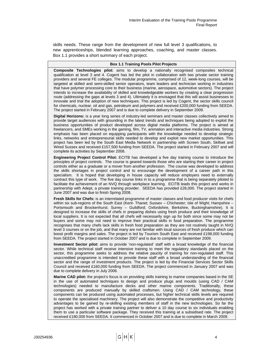skills needs. These range from the development of new full level 3 qualifications, to new apprenticeships, blended learning approaches, coaching, and master classes. Box 1.1 provides a short summary of each project.

#### **Box 1.1 Training Pools Pilot Projects**

**Composite Technologies pilot:** aims to develop a nationally recognised composites technical qualification at level 3 and 4. Cogent has led the pilot in collaboration with two private sector training providers and several FE colleges. The modular programme, comprised of 12, week-long courses, will be targeted at skilled and semi-skilled senior operators, team leaders and technician working in industries that have polymer processing core to their business (marine, aerospace, automotive sectors). The project intends to increase the availability of skilled and knowledgeable workers by creating a clear progression route (addressing the gaps at levels 3 and 4). Ultimately it is envisaged that this will assist businesses to innovate and trial the adoption of new techniques. This project is led by Cogent, the sector skills council for chemicals, nuclear, oil and gas, petroleum and polymers and received £200,000 funding from SEEDA. The project started in February 2007 and is due to complete delivery in September 2009.

**Digital Horizons:** is a year long series of industry-led seminars and master classes collectively aimed to provide target audiences with grounding in the latest trends and techniques being adopted to exploit the business opportunities of product developed across digital media platforms. The project is aimed at freelancers, and SMEs working in the gaming, film, TV, animation and interactive media industries. Strong emphasis has been placed on equipping participants with the knowledge needed to develop strategic links, networks and entrepreneurial skills needed to develop and exploit new market opportunities. This project has been led by the South East Media Network in partnership with Screen South, Skillset and Wired Sussex and received £157,500 funding from SEEDA. The project started in February 2007 and will complete its activities by September 2008.

**Engineering Project Control Pilot:** ECITB has developed a five day training course to introduce the principles of project controls. The course is geared towards those who are starting their career in project controls either as a graduate or a mover from another profession. The course was developed to address the skills shortages in project control and to encourage the development of a career path in this specialism. It is hoped that developing in house capacity will reduce employers need to externally contract this type of work. The five day course links in to a programme that is being separately piloted to facilitate the achievement of an NVQ through workplace learning. ECITB leads this project and works in partnership with Adept, a private training provider. SEEDA has provided £26,000. The project started in June 2007 and was due to finish Spring 2008.

**Fresh Skills for Chefs:** is an interrelated programme of master classes and food producer visits for chefs within six sub-regions of the South East (Kent- Thanet; Sussex - Chichester; Isle of Wight; Hampshire -Portsmouth and Brockenhurst; Surrey – Guildford; Oxfordshire, Berkshire, Buckinghamshire). It is designed to increase the skills of chefs in preparing dishes using fresh produce and their knowledge of local suppliers. It is not expected that all chefs will necessarily sign up for both since some may not be buyers and some may not need to improve their practical skills in food preparation. The programme recognises that many chefs lack skills in fresh food preparation as they are not routinely taught in NVQ level 3 courses or on the job, and that many are not familiar with local sources of fresh produce which can boost profit margins and sales. The project is led by Tourism South East and received £198,000 funding from SEEDA. The project started in October 2007 and is due to complete in September 2009.

**Investment Sector pilot:** aims to provide 'non-regulated' staff with a broad knowledge of the financial sector. While technical staff receive intensive training to meet the regulatory standards placed on the sector, this programme seeks to address the relative paucity of training for non-regulated staff. This unaccredited programme is intended to provide these staff with a broad understanding of the financial sector and the range of investment products. The project is led by the Financial Services Sector Skills Council and received £160,000 funding from SEEDA. The project commenced in January 2007 and was due to complete delivery in July 2008.

**Marine CAD pilot:** the project's focus is on providing skills training to marine companies based in the SE in the use of automated techniques to design and produce plugs and moulds (using CAD / CAM technologies) needed to manufacture decks and other marine components. Traditionally, these components are produced manually by skilled craftsmen. Using CAD / CAM technology, these components can be produced using automated processes, but higher technical skills levels are required to operate the specialised machinery. The project will also demonstrate the competitive and productivity advantages to be gained by re-skilling existing members of staff in the new technologies. So far the project has worked with a private training partner to deliver a 10 day course to six individuals enabling them to use a particular software package. They received this training at a subsidised rate. The project received £180,000 from SEEDA. It commenced in October 2007 and is due to complete in March 2009.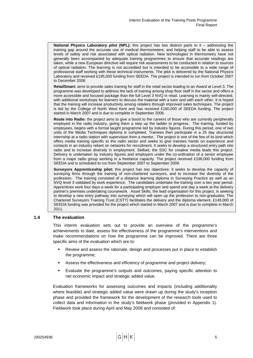<span id="page-14-0"></span>**National Physics Laboratory pilot (NPL):** this project has two distinct parts to it – addressing the training gap around the accurate use of medical thermometers; and helping staff to be able to assess levels of safety and risk associated with optical radiation. New technologies in thermometry have not generally been accompanied by adequate training programmes to ensure that accurate readings are taken, while a new European directive will require risk assessments to be conducted in relation to sources of optical radiation. The learning is not accredited but is intended to be accessible to a wide range of professional staff working with these technical instruments. The pilot is delivered by the National Physics Laboratory and received £195,000 funding from SEEDA. The project is intended to run from October 2007 to December 2008.

**RetailSmart:** aims to provide sales training for staff in the retail sector leading to an Award at Level 3. The programme was developed to address the lack of training among shop floor staff in the sector and offers a more accessible and focused package than the full Level 3 NVQ in retail. Learning is mainly self-directed, with additional workshops for learners to discuss the material with a tutor and with each other. It is hoped that the training will increase productivity among retailers through improved sales techniques. The project is led by the College of North West Kent and has received £160,000 of SEEDA funding. The project started in March 2007 and is due to complete in September 2008.

**Route into Radio**: the project aims to give a boost to the careers of those who are currently peripherally employed in the radio industry, giving them a step up the ladder to progress. The training, funded by employees, begins with a formal taught programme led by industry figures. During this period, one of two units of the Media Techniques diploma is completed. Trainees then participate in a 25 day structured internship at a radio station with supervision from a mentor. The project is one of the few of its kind which offers media training specific to the radio sector and seeks to give trainees hands on experience and contacts in an industry reliant on networks for recruitment. It seeks to develop a structured entry path into radio and to increase diversity in employment. Skillset, the SSC for creative media leads this project. Delivery is undertaken by industry figures and employers under the co-ordination of a senior employee from a major radio group working in a freelance capacity. The project received £196,000 funding from SEEDA and is scheduled to run from September 2007 to September 2009.

**Surveyors Apprenticeship pilot:** this project has two objectives: it seeks to develop the capacity of surveying firms through the training of non-chartered surveyors, and to increase the diversity of the profession. The training consisted of a distance learning diploma in Surveying Practice as well as an NVQ level 3 validated by work experience. The candidates undertake the training over a two year period. Apprentices work four days a week for a participating employer and spend one day a week at the delivery partner's premises undertaking coursework. Asset Skills, the lead organisation for this project, is seeking to develop a new entry pathway into surveying which will open up the profession to non-graduates. The Chartered Surveyors Training Trust (CSTT) facilitates the delivery and the diploma element. £149,000 of SEEDA funding was provided for the project which started in March 2007 and is due to complete in March 2011.

# **1.4 The evaluation**

This interim evaluation sets out to provide an overview of the programme's achievements to date, assess the effectiveness of the programme's interventions and make recommendations on how the programme can be improved. There are three specific aims of the evaluation which are to:

- Review and assess the rationale, design and processes put in place to establish the programme;
- Assess the effectiveness and efficiency of programme and project delivery;
- Evaluate the programme's outputs and outcomes, paying specific attention to net economic impact and strategic added value.

Evaluation frameworks for assessing outcomes and impacts (including additionality where feasible) and strategic added value were drawn up during the study's inception phase and provided the framework for the development of the research tools used to collect data and information in the study's fieldwork phase (provided in Appendix 1). Fieldwork took place during April and May 2008 and consisted of: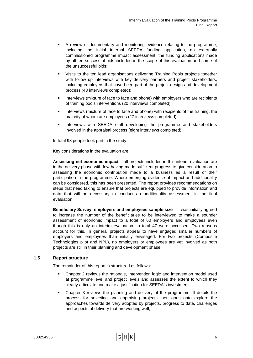- <span id="page-15-0"></span> A review of documentary and monitoring evidence relating to the programme; including the initial internal SEEDA funding application, an externally commissioned programme impact assessment, the funding applications made by all ten successful bids included in the scope of this evaluation and some of the unsuccessful bids;
- Visits to the ten lead organisations delivering Training Pools projects together with follow up interviews with key delivery partners and project stakeholders, including employers that have been part of the project design and development process (43 interviews completed);
- **Interviews (mixture of face to face and phone) with employers who are recipients** of training pools interventions (20 interviews completed);
- Interviews (mixture of face to face and phone) with recipients of the training, the majority of whom are employees (27 interviews completed);
- **Interviews with SEEDA staff developing the programme and stakeholders** involved in the appraisal process (eight interviews completed).

In total 98 people took part in the study.

Key considerations in the evaluation are:

**Assessing net economic impact** – all projects included in this interim evaluation are in the delivery phase with few having made sufficient progress to give consideration to assessing the economic contribution made to a business as a result of their participation in the programme. Where emerging evidence of impact and additionality can be considered, this has been presented. The report provides recommendations on steps that need taking to ensure that projects are equipped to provide information and data that will be necessary to conduct an additionality assessment in the final evaluation.

**Beneficiary Survey: employers and employees sample size** – it was initially agreed to increase the number of the beneficiaries to be interviewed to make a sounder assessment of economic impact to a total of 60 employers and employees even though this is only an interim evaluation. In total 47 were accessed. Two reasons account for this. In general projects appear to have engaged smaller numbers of employers and employees than initially envisaged. For two projects (Composite Technologies pilot and NPL), no employers or employees are yet involved as both projects are still in their planning and development phase

# **1.5 Report structure**

The remainder of this report is structured as follows:

- Chapter 2 reviews the rationale, intervention logic and intervention model used at programme level and project levels and assesses the extent to which they clearly articulate and make a justification for SEEDA's investment.
- Chapter 3 reviews the planning and delivery of the programme. It details the process for selecting and appraising projects then goes onto explore the approaches towards delivery adopted by projects, progress to date, challenges and aspects of delivery that are working well;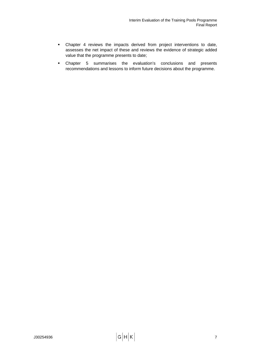- Chapter 4 reviews the impacts derived from project interventions to date, assesses the net impact of these and reviews the evidence of strategic added value that the programme presents to date;
- Chapter 5 summarises the evaluation's conclusions and presents recommendations and lessons to inform future decisions about the programme.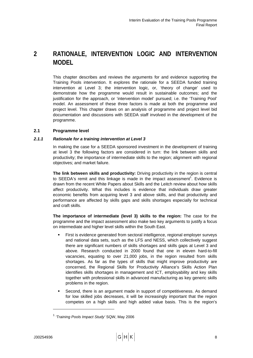# <span id="page-17-0"></span>**2 RATIONALE, INTERVENTION LOGIC AND INTERVENTION MODEL**

This chapter describes and reviews the arguments for and evidence supporting the Training Pools intervention. It explores the rationale for a SEEDA funded training intervention at Level 3; the intervention logic, or, 'theory of change' used to demonstrate how the programme would result in sustainable outcomes; and the justification for the approach, or 'intervention model' pursued; i.e. the 'Training Pool' model. An assessment of these three factors is made at both the programme and project level. This chapter draws on an analysis of programme and project level bid documentation and discussions with SEEDA staff involved in the development of the programme.

# **2.1 Programme level**

# *2.1.1 Rationale for a training intervention at Level 3*

In making the case for a SEEDA sponsored investment in the development of training at level 3 the following factors are considered in turn: the link between skills and productivity; the importance of intermediate skills to the region; alignment with regional objectives; and market failure.

**The link between skills and productivity:** Driving productivity in the region is central [t](#page-17-1)o SEEDA's remit and this linkage is made in the impact assessment<sup>1</sup>. Evidence is drawn from the recent White Papers about Skills and the Leitch review about how skills affect productivity. What this includes is evidence that individuals draw greater economic benefits from acquiring level 3 and above skills, and that productivity and performance are affected by skills gaps and skills shortages especially for technical and craft skills.

**The importance of intermediate (level 3) skills to the region:** The case for the programme and the impact assessment also make two key arguments to justify a focus on intermediate and higher level skills within the South East.

- First is evidence generated from sectoral intelligence, regional employer surveys and national data sets, such as the LFS and NESS, which collectively suggest there are significant numbers of skills shortages and skills gaps at Level 3 and above. Research conducted in 2000 found that one in eleven hard-to-fill vacancies, equating to over 21,000 jobs, in the region resulted from skills shortages. As far as the types of skills that might improve productivity are concerned, the Regional Skills for Productivity Alliance's Skills Action Plan identifies skills shortages in management and ICT, employability and key skills together with professional skills in advanced manufacturing as key generic skills problems in the region.
- Second, there is an argument made in support of competitiveness. As demand for low skilled jobs decreases, it will be increasingly important that the region competes on a high skills and high added value basis. This is the region's

l

<span id="page-17-1"></span><sup>1</sup> *'Training Pools Impact Study'* SQW, May 2006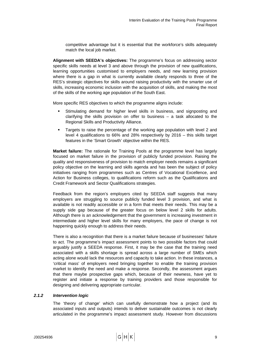competitive advantage but it is essential that the workforce's skills adequately match the local job market.

**Alignment with SEEDA's objectives:** The programme's focus on addressing sector specific skills needs at level 3 and above through the provision of new qualifications, learning opportunities customised to employers needs, and new learning provision where there is a gap in what is currently available clearly responds to three of the RES's strategic objectives for skills around raising productivity with the smarter use of skills, increasing economic inclusion with the acquisition of skills, and making the most of the skills of the working age population of the South East.

More specific RES objectives to which the programme aligns include:

- Stimulating demand for higher level skills in business, and signposting and clarifying the skills provision on offer to business – a task allocated to the Regional Skills and Productivity Alliance.
- Targets to raise the percentage of the working age population with level 2 and level 4 qualifications to 66% and 28% respectively by 2016 – this skills target features in the 'Smart Growth' objective within the RES.

**Market failure:** The rationale for Training Pools at the programme level has largely focused on market failure in the provision of publicly funded provision. Raising the quality and responsiveness of provision to match employer needs remains a significant policy objective on the learning and skills agenda and has been the subject of policy initiatives ranging from programmes such as Centres of Vocational Excellence, and Action for Business colleges, to qualifications reform such as the Qualifications and Credit Framework and Sector Qualifications strategies.

Feedback from the region's employers cited by SEEDA staff suggests that many employers are struggling to source publicly funded level 3 provision, and what is available is not readily accessible or in a form that meets their needs. This may be a supply side gap because of the greater focus on below level 2 skills for adults. Although there is an acknowledgement that the government is increasing investment in intermediate and higher level skills for many employers, the pace of change is not happening quickly enough to address their needs.

There is also a recognition that there is a market failure because of businesses' failure to act. The programme's impact assessment points to two possible factors that could arguably justify a SEEDA response. First, it may be the case that the training need associated with a skills shortage is spread across a large number of SMEs which acting alone would lack the resources and capacity to take action. In these instances, a 'critical mass' of employers need bringing together to enable the training provision market to identify the need and make a response. Secondly, the assessment argues that there maybe prospective gaps which, because of their newness, have yet to register and initiate a response by training providers and those responsible for designing and delivering appropriate curricular.

# *2.1.2 Intervention logic*

The 'theory of change' which can usefully demonstrate how a project (and its associated inputs and outputs) intends to deliver sustainable outcomes is not clearly articulated in the programme's impact assessment study. However from discussions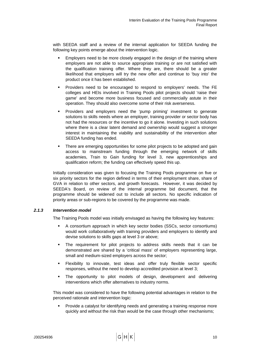with SEEDA staff and a review of the internal application for SEEDA funding the following key points emerge about the intervention logic.

- **Employers need to be more closely engaged in the design of the training where** employers are not able to source appropriate training or are not satisfied with the qualification training offer. Where they are, there should be a greater likelihood that employers will try the new offer and continue to 'buy into' the product once it has been established.
- Providers need to be encouraged to respond to employers' needs. The FE colleges and HEIs involved in Training Pools pilot projects should 'raise their game' and become more business focused and commercially astute in their operation. They should also overcome some of their risk averseness.
- Providers and employers need the 'pump priming' investment to generate solutions to skills needs where an employer, training provider or sector body has not had the resources or the incentive to go it alone. Investing in such solutions where there is a clear latent demand and ownership would suggest a stronger interest in maintaining the viability and sustainability of the intervention after SEEDA funding has ended.
- **There are emerging opportunities for some pilot projects to be adopted and gain** access to mainstream funding through the emerging network of skills academies, Train to Gain funding for level 3, new apprenticeships and qualification reform; the funding can effectively speed this up.

Initially consideration was given to focusing the Training Pools programme on five or six priority sectors for the region defined in terms of their employment share, share of GVA in relation to other sectors, and growth forecasts. However, it was decided by SEEDA's Board, on review of the internal programme bid document, that the programme should be widened out to include all sectors. No specific indication of priority areas or sub-regions to be covered by the programme was made.

# *2.1.3 Intervention model*

The Training Pools model was initially envisaged as having the following key features:

- A consortium approach in which key sector bodies (SSCs, sector consortiums) would work collaboratively with training providers and employers to identify and devise solutions to skills gaps at level 3 or above;
- The requirement for pilot projects to address skills needs that it can be demonstrated are shared by a 'critical mass' of employers representing large, small and medium-sized employers across the sector;
- Flexibility to innovate, test ideas and offer truly flexible sector specific responses, without the need to develop accredited provision at level 3;
- The opportunity to pilot models of design, development and delivering interventions which offer alternatives to industry norms.

This model was considered to have the following potential advantages in relation to the perceived rationale and intervention logic:

 Provide a catalyst for identifying needs and generating a training response more quickly and without the risk than would be the case through other mechanisms;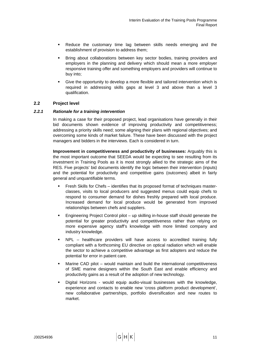- <span id="page-20-0"></span> Reduce the customary time lag between skills needs emerging and the establishment of provision to address them;
- Bring about collaborations between key sector bodies, training providers and employers in the planning and delivery which should mean a more employer responsive training offer and something employers and providers will continue to buy into;
- Give the opportunity to develop a more flexible and tailored intervention which is required in addressing skills gaps at level 3 and above than a level 3 qualification.

# **2.2 Project level**

# *2.2.1 Rationale for a training intervention*

In making a case for their proposed project, lead organisations have generally in their bid documents shown evidence of improving productivity and competitiveness; addressing a priority skills need; some aligning their plans with regional objectives; and overcoming some kinds of market failure. These have been discussed with the project managers and bidders in the interviews. Each is considered in turn.

**Improvement in competitiveness and productivity of businesses:** Arguably this is the most important outcome that SEEDA would be expecting to see resulting from its investment in Training Pools as it is most strongly allied to the strategic aims of the RES. Five projects' bid documents identify the logic between their intervention (inputs) and the potential for productivity and competitive gains (outcomes) albeit in fairly general and unquantifiable terms.

- Fresh Skills for Chefs identifies that its proposed format of techniques masterclasses, visits to local producers and suggested menus could equip chefs to respond to consumer demand for dishes freshly prepared with local produce. Increased demand for local produce would be generated from improved relationships between chefs and suppliers.
- Engineering Project Control pilot up skilling in-house staff should generate the potential for greater productivity and competitiveness rather than relying on more expensive agency staff's knowledge with more limited company and industry knowledge.
- NPL healthcare providers will have access to accredited training fully compliant with a forthcoming EU directive on optical radiation which will enable the sector to achieve a competitive advantage as first adopters and reduce the potential for error in patient care.
- Marine CAD pilot would maintain and build the international competitiveness of SME marine designers within the South East and enable efficiency and productivity gains as a result of the adoption of new technology.
- Digital Horizons would equip audio-visual businesses with the knowledge, experience and contacts to enable new 'cross platform product development', new collaborative partnerships, portfolio diversification and new routes to market.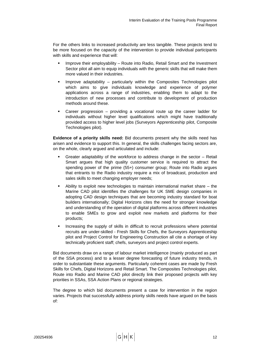For the others links to increased productivity are less tangible. These projects tend to be more focused on the capacity of the intervention to provide individual participants with skills and experience that will:

- Improve their employability Route into Radio, Retail Smart and the Investment Sector pilot all aim to equip individuals with the generic skills that will make them more valued in their industries.
- Improve adaptability particularly within the Composites Technologies pilot which aims to give individuals knowledge and experience of polymer applications across a range of industries, enabling them to adapt to the introduction of new processes and contribute to development of production methods around these.
- Career progression providing a vocational route up the career ladder for individuals without higher level qualifications which might have traditionally provided access to higher level jobs (Surveyors Apprenticeship pilot, Composite Technologies pilot).

**Evidence of a priority skills need:** Bid documents present why the skills need has arisen and evidence to support this. In general, the skills challenges facing sectors are, on the whole, clearly argued and articulated and include:

- Greater adaptability of the workforce to address change in the sector Retail Smart argues that high quality customer service is required to attract the spending power of the prime (55+) consumer group; Route into Radio argues that entrants to the Radio industry require a mix of broadcast, production and sales skills to meet changing employer needs;
- Ability to exploit new technologies to maintain international market share the Marine CAD pilot identifies the challenges for UK SME design companies in adopting CAD design techniques that are becoming industry standard for boat builders internationally; Digital Horizons cites the need for stronger knowledge and understanding of the operation of digital platforms across different industries to enable SMEs to grow and exploit new markets and platforms for their products;
- Increasing the supply of skills in difficult to recruit professions where potential recruits are under-skilled - Fresh Skills for Chefs, the Surveyors Apprenticeship pilot and Project Control for Engineering Construction all cite a shortage of key technically proficient staff; chefs, surveyors and project control experts.

Bid documents draw on a range of labour market intelligence (mainly produced as part of the SSA process) and to a lesser degree forecasting of future industry trends, in order to substantiate these arguments. Particularly coherent cases are made by Fresh Skills for Chefs, Digital Horizons and Retail Smart. The Composites Technologies pilot, Route into Radio and Marine CAD pilot directly link their proposed projects with key priorities in SSAs, SSA Action Plans or regional strategies.

The degree to which bid documents present a case for intervention in the region varies. Projects that successfully address priority skills needs have argued on the basis of: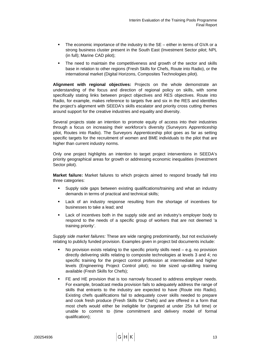- The economic importance of the industry to the SE either in terms of GVA or a strong business cluster present in the South East (Investment Sector pilot; NPL (in full); Marine CAD pilot);
- The need to maintain the competitiveness and growth of the sector and skills base in relation to other regions (Fresh Skills for Chefs, Route into Radio), or the international market (Digital Horizons, Composites Technologies pilot).

**Alignment with regional objectives:** Projects on the whole demonstrate an understanding of the focus and direction of regional policy on skills, with some specifically stating links between project objectives and RES objectives. Route into Radio, for example, makes reference to targets five and six in the RES and identifies the project's alignment with SEEDA's skills escalator and priority cross cutting themes around support for the creative industries and equality and diversity.

Several projects state an intention to promote equity of access into their industries through a focus on increasing their workforce's diversity (Surveyors Apprenticeship pilot, Routes into Radio). The Surveyors Apprenticeship pilot goes as far as setting specific targets for the recruitment of women and BME individuals to the pilot that are higher than current industry norms.

Only one project highlights an intention to target project interventions in SEEDA's priority geographical areas for growth or addressing economic inequalities (Investment Sector pilot).

**Market failure:** Market failures to which projects aimed to respond broadly fall into three categories:

- Supply side gaps between existing qualifications/training and what an industry demands in terms of practical and technical skills;
- Lack of an industry response resulting from the shortage of incentives for businesses to take a lead; and
- Lack of incentives both in the supply side and an industry's employer body to respond to the needs of a specific group of workers that are not deemed 'a training priority'.

*Supply side market failures:* These are wide ranging predominantly, but not exclusively relating to publicly funded provision. Examples given in project bid documents include:

- No provision exists relating to the specific priority skills need  $-$  e.g. no provision directly delivering skills relating to composite technologies at levels 3 and 4; no specific training for the project control profession at intermediate and higher levels (Engineering Project Control pilot); no bite sized up-skilling training available (Fresh Skills for Chefs);
- FE and HE provision that is too narrowly focused to address employer needs. For example, broadcast media provision fails to adequately address the range of skills that entrants to the industry are expected to have (Route into Radio). Existing chefs qualifications fail to adequately cover skills needed to prepare and cook fresh produce (Fresh Skills for Chefs) and are offered in a form that most chefs would either be ineligible for (targeted at under 25s full time) or unable to commit to (time commitment and delivery model of formal qualification);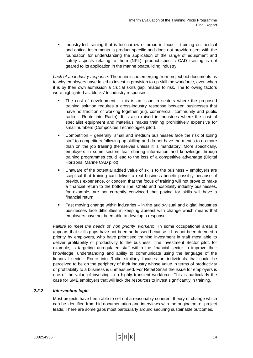Industry-led training that is too narrow or broad in focus – training on medical and optical instruments is product specific and does not provide users with the foundation for understanding the application of the range of equipment and safety aspects relating to them (NPL); product specific CAD training is not geared to its application in the marine boatbuilding industry.

*Lack of an industry response:* The main issue emerging from project bid documents as to why employers have failed to invest in provision to up-skill the workforce, even when it is by their own admission a crucial skills gap, relates to risk. The following factors were highlighted as 'blocks' to industry responses.

- The cost of development this is an issue in sectors where the proposed training solution requires a cross-industry response between businesses that have no tradition of working together (e.g. commercial, community and public radio – Route into Radio). It is also raised in industries where the cost of specialist equipment and materials makes training prohibitively expensive for small numbers (Composites Technologies pilot).
- Competition generally, small and medium businesses face the risk of losing staff to competitors following up-skilling and do not have the means to do more than on the job training themselves unless it is mandatory. More specifically, employers in some sectors fear sharing information and knowledge through training programmes could lead to the loss of a competitive advantage (Digital Horizons, Marine CAD pilot).
- Unaware of the potential added value of skills to the business employers are sceptical that training can deliver a real business benefit possibly because of previous experience, or concern that the focus of training will not prove to make a financial return to the bottom line. Chefs and hospitality industry businesses, for example, are not currently convinced that paying for skills will have a financial return.
- Fast moving change within industries in the audio-visual and digital industries businesses face difficulties in keeping abreast with change which means that employers have not been able to develop a response.

*Failure to meet the needs of 'non priority' workers*: In some occupational areas it appears that skills gaps have not been addressed because it has not been deemed a priority by employers, who have prioritised training investment in staff most able to deliver profitability or productivity to the business. The Investment Sector pilot, for example, is targeting unregulated staff within the financial sector to improve their knowledge, understanding and ability to communicate using the language of the financial sector. Route into Radio similarly focuses on individuals that could be perceived to be on the periphery of their industry whose value in terms of productivity or profitability to a business is unmeasured. For Retail Smart the issue for employers is one of the value of investing in a highly transient workforce. This is particularly the case for SME employers that will lack the resources to invest significantly in training.

# *2.2.2 Intervention logic*

Most projects have been able to set out a reasonably coherent theory of change which can be identified from bid documentation and interviews with the originators or project leads. There are some gaps most particularly around securing sustainable outcomes.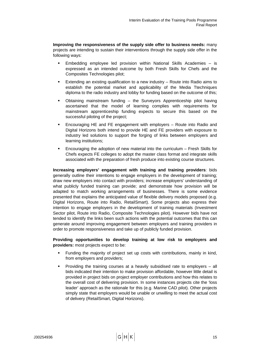**Improving the responsiveness of the supply side offer to business needs:** many projects are intending to sustain their interventions through the supply side offer in the following ways:

- Embedding employee led provision within National Skills Academies is expressed as an intended outcome by both Fresh Skills for Chefs and the Composites Technologies pilot;
- Extending an existing qualification to a new industry Route into Radio aims to establish the potential market and applicability of the Media Ttechniques diploma to the radio industry and lobby for funding based on the outcome of this;
- Obtaining mainstream funding the Surveyors Apprenticeship pilot having ascertained that the model of learning complies with requirements for mainstream apprenticeship funding expects to secure this based on the successful piloting of the project;
- Encouraging HE and FE engagement with employers Route into Radio and Digital Horizons both intend to provide HE and FE providers with exposure to industry led solutions to support the forging of links between employers and learning institutions;
- Encouraging the adoption of new material into the curriculum Fresh Skills for Chefs expects FE colleges to adopt the master class format and integrate skills associated with the preparation of fresh produce into existing course structures.

**Increasing employers' engagement with training and training providers**: bids generally outline their intentions to engage employers in the development of training; draw new employers into contact with providers; increase employers' understanding of what publicly funded training can provide; and demonstrate how provision will be adapted to match working arrangements of businesses. There is some evidence presented that explains the anticipated value of flexible delivery models proposed (e.g. Digital Horizons, Route into Radio, RetailSmart). Some projects also express their intention to engage employers in the development of training materials (Investment Sector pilot, Route into Radio, Composite Technologies pilot). However bids have not tended to identify the links been such actions with the potential outcomes that this can generate around improving engagement between employers and training providers in order to promote responsiveness and take up of publicly funded provision.

**Providing opportunities to develop training at low risk to employers and providers:** most projects expect to be:

- Funding the majority of project set up costs with contributions, mainly in kind, from employers and providers;
- Providing the training courses at a heavily subsidised rate to employers all bids indicated their intention to make provision affordable, however little detail is provided in project bids on project employer contributions and how this relates to the overall cost of delivering provision. In some instances projects cite the 'loss leader' approach as the rationale for this (e.g. Marine CAD pilot). Other projects simply state that employers would be unable or unwilling to meet the actual cost of delivery (RetailSmart, Digital Horizons).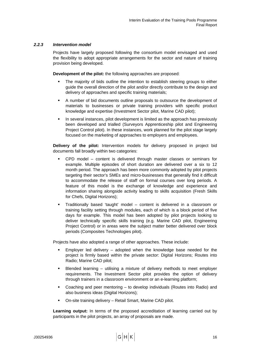# *2.2.3 Intervention model*

Projects have largely proposed following the consortium model envisaged and used the flexibility to adopt appropriate arrangements for the sector and nature of training provision being developed.

**Development of the pilot:** the following approaches are proposed:

- The majority of bids outline the intention to establish steering groups to either guide the overall direction of the pilot and/or directly contribute to the design and delivery of approaches and specific training materials;
- A number of bid documents outline proposals to outsource the development of materials to businesses or private training providers with specific product knowledge and expertise (Investment Sector pilot, Marine CAD pilot);
- In several instances, pilot development is limited as the approach has previously been developed and trialled (Surveyors Apprenticeship pilot and Engineering Project Control pilot). In these instances, work planned for the pilot stage largely focused on the marketing of approaches to employers and employees.

**Delivery of the pilot:** Intervention models for delivery proposed in project bid documents fall broadly within two categories:

- CPD model content is delivered through master classes or seminars for example. Multiple episodes of short duration are delivered over a six to 12 month period. The approach has been more commonly adopted by pilot projects targeting their sector's SMEs and micro-businesses that generally find it difficult to accommodate the release of staff on formal courses over long periods. A feature of this model is the exchange of knowledge and experience and information sharing alongside activity leading to skills acquisition (Fresh Skills for Chefs, Digital Horizons);
- Traditionally based 'taught' model content is delivered in a classroom or training facility setting through modules, each of which is a block period of five days for example. This model has been adopted by pilot projects looking to deliver technically specific skills training (e.g. Marine CAD pilot, Engineering Project Control) or in areas were the subject matter better delivered over block periods (Composites Technologies pilot).

Projects have also adopted a range of other approaches. These include:

- Employer led delivery  $-$  adopted when the knowledge base needed for the project is firmly based within the private sector: Digital Horizons; Routes into Radio; Marine CAD pilot;
- Blended learning utilising a mixture of delivery methods to meet employer requirements. The Investment Sector pilot provides the option of delivery through trainers in a classroom environment or an e-learning platform;
- Coaching and peer mentoring to develop individuals (Routes into Radio) and also business ideas (Digital Horizons);
- On-site training delivery Retail Smart, Marine CAD pilot.

**Learning output:** In terms of the proposed accreditation of learning carried out by participants in the pilot projects, an array of proposals are made.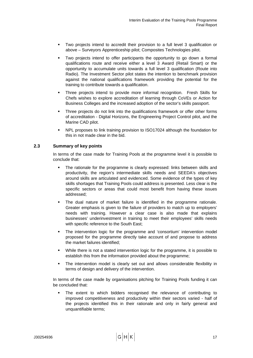- <span id="page-26-0"></span> Two projects intend to accredit their provision to a full level 3 qualification or above – Surveyors Apprenticeship pilot; Composites Technologies pilot.
- Two projects intend to offer participants the opportunity to go down a formal qualifications route and receive either a level 3 Award (Retail Smart) or the opportunity to accumulate units towards a full level 3 qualification (Route into Radio). The Investment Sector pilot states the intention to benchmark provision against the national qualifications framework providing the potential for the training to contribute towards a qualification.
- Three projects intend to provide more informal recognition. Fresh Skills for Chefs wishes to explore accreditation of learning through CoVEs or Action for Business Colleges and the increased adoption of the sector's skills passport.
- Three projects do not link into the qualifications framework or offer other forms of accreditation - Digital Horizons, the Engineering Project Control pilot, and the Marine CAD pilot.
- NPL proposes to link training provision to ISO17024 although the foundation for this in not made clear in the bid.

# **2.3 Summary of key points**

In terms of the case made for Training Pools at the programme level it is possible to conclude that:

- The rationale for the programme is clearly expressed: links between skills and productivity, the region's intermediate skills needs and SEEDA's objectives around skills are articulated and evidenced. Some evidence of the types of key skills shortages that Training Pools could address is presented. Less clear is the specific sectors or areas that could most benefit from having these issues addressed;
- The dual nature of market failure is identified in the programme rationale. Greater emphasis is given to the failure of providers to match up to employers' needs with training. However a clear case is also made that explains businesses' underinvestment in training to meet their employees' skills needs with specific reference to the South East;
- **The intervention logic for the programme and 'consortium' intervention model** proposed for the programme directly take account of and propose to address the market failures identified;
- While there is not a stated intervention logic for the programme, it is possible to establish this from the information provided about the programme;
- The intervention model is clearly set out and allows considerable flexibility in terms of design and delivery of the intervention.

In terms of the case made by organisations pitching for Training Pools funding it can be concluded that:

 The extent to which bidders recognised the relevance of contributing to improved competitiveness and productivity within their sectors varied - half of the projects identified this in their rationale and only in fairly general and unquantifiable terms;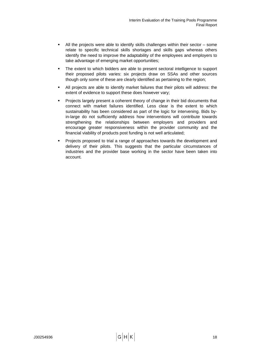- All the projects were able to identify skills challenges within their sector some relate to specific technical skills shortages and skills gaps whereas others identify the need to improve the adaptability of the employees and employers to take advantage of emerging market opportunities;
- The extent to which bidders are able to present sectoral intelligence to support their proposed pilots varies: six projects draw on SSAs and other sources though only some of these are clearly identified as pertaining to the region;
- All projects are able to identify market failures that their pilots will address: the extent of evidence to support these does however vary;
- Projects largely present a coherent theory of change in their bid documents that connect with market failures identified. Less clear is the extent to which sustainability has been considered as part of the logic for intervening. Bids byin-large do not sufficiently address how interventions will contribute towards strengthening the relationships between employers and providers and encourage greater responsiveness within the provider community and the financial viability of products post funding is not well articulated;
- Projects proposed to trial a range of approaches towards the development and delivery of their pilots. This suggests that the particular circumstances of industries and the provider base working in the sector have been taken into account.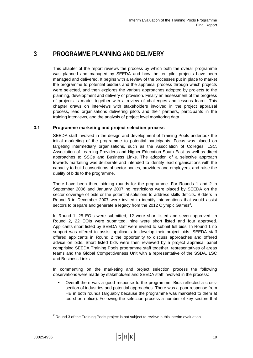# <span id="page-28-0"></span>**3 PROGRAMME PLANNING AND DELIVERY**

This chapter of the report reviews the process by which both the overall programme was planned and managed by SEEDA and how the ten pilot projects have been managed and delivered. It begins with a review of the processes put in place to market the programme to potential bidders and the appraisal process through which projects were selected, and then explores the various approaches adopted by projects to the planning, development and delivery of provision. Finally an assessment of the progress of projects is made, together with a review of challenges and lessons learnt. This chapter draws on interviews with stakeholders involved in the project appraisal process, lead organisations delivering pilots and their partners, participants in the training interviews, and the analysis of project level monitoring data.

# **3.1 Programme marketing and project selection process**

SEEDA staff involved in the design and development of Training Pools undertook the initial marketing of the programme to potential participants. Focus was placed on targeting intermediary organisations, such as the Association of Colleges, LSC, Association of Learning Providers and Higher Education South East as well as direct approaches to SSCs and Business Links. The adoption of a selective approach towards marketing was deliberate and intended to identify lead organisations with the capacity to build consortiums of sector bodies, providers and employers, and raise the quality of bids to the programme.

There have been three bidding rounds for the programme. For Rounds 1 and 2 in September 2006 and January 2007 no restrictions were placed by SEEDA on the sector coverage of bids or the potential solutions to address skills deficits. Bidders in Round 3 in December 2007 were invited to identify interventions that would assist sectors to prepare and generate a legacy from the 2012 Olympic Games<sup>2</sup>[.](#page-28-1)

In Round 1, 25 EOIs were submitted, 12 were short listed and seven approved. In Round 2, 22 EOIs were submitted, nine were short listed and four approved. Applicants short listed by SEEDA staff were invited to submit full bids. In Round 1 no support was offered to assist applicants to develop their project bids. SEEDA staff offered applicants in Round 2 the opportunity to discuss approaches and offered advice on bids. Short listed bids were then reviewed by a project appraisal panel comprising SEEDA Training Pools programme staff together, representatives of areas teams and the Global Competitiveness Unit with a representative of the SSDA, LSC and Business Links.

In commenting on the marketing and project selection process the following observations were made by stakeholders and SEEDA staff involved in the process:

 Overall there was a good response to the programme. Bids reflected a crosssection of industries and potential approaches. There was a poor response from HE in both rounds (arguably because the programme was marketed to them at too short notice). Following the selection process a number of key sectors that

l

<span id="page-28-1"></span> $2$  Round 3 of the Training Pools project is not subject to review in this interim evaluation.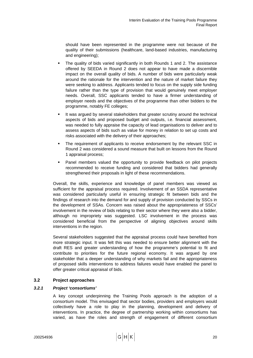<span id="page-29-0"></span>should have been represented in the programme were not because of the quality of their submissions (healthcare, land-based industries, manufacturing and engineering);

- The quality of bids varied significantly in both Rounds 1 and 2. The assistance offered by SEEDA in Round 2 does not appear to have made a discernible impact on the overall quality of bids. A number of bids were particularly weak around the rationale for the intervention and the nature of market failure they were seeking to address. Applicants tended to focus on the supply side funding failure rather than the type of provision that would genuinely meet employer needs. Overall, SSC applicants tended to have a firmer understanding of employer needs and the objectives of the programme than other bidders to the programme, notably FE colleges;
- It was argued by several stakeholders that greater scrutiny around the technical aspects of bids and proposed budget and outputs, i.e. financial assessment, was needed to fully appraise the capacity of lead organisations to deliver and to assess aspects of bids such as value for money in relation to set up costs and risks associated with the delivery of their approaches;
- The requirement of applicants to receive endorsement by the relevant SSC in Round 2 was considered a sound measure that built on lessons from the Round 1 appraisal process;
- Panel members valued the opportunity to provide feedback on pilot projects recommended to receive funding and considered that bidders had generally strengthened their proposals in light of these recommendations.

Overall, the skills, experience and knowledge of panel members was viewed as sufficient for the appraisal process required. Involvement of an SSDA representative was considered particularly useful in ensuring strategic fit between bids and the findings of research into the demand for and supply of provision conducted by SSCs in the development of SSAs. Concern was raised about the appropriateness of SSCs' involvement in the review of bids relating to their sector where they were also a bidder, although no impropriety was suggested. LSC involvement in the process was considered beneficial from the perspective of aligning objectives around skills interventions in the region.

Several stakeholders suggested that the appraisal process could have benefited from more strategic input. It was felt this was needed to ensure better alignment with the draft RES and greater understanding of how the programme's potential to fit and contribute to priorities for the future regional economy. It was argued by one stakeholder that a deeper understanding of why markets fail and the appropriateness of proposed skills interventions to address failures would have enabled the panel to offer greater critical appraisal of bids.

# **3.2 Project approaches**

# *3.2.1 Project 'consortiums'*

A key concept underpinning the Training Pools approach is the adoption of a consortium model. This envisaged that sector bodies, providers and employers would collectively have a role to play in the planning, development and delivery of interventions. In practice, the degree of partnership working within consortiums has varied, as have the roles and strength of engagement of different consortium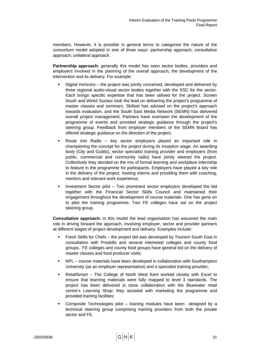members. However, it is possible in general terms to categorise the nature of the consortium model adopted in one of three ways: partnership approach; consultative approach; unilateral approach.

**Partnership approach:** generally this model has seen sector bodies, providers and employers involved in the planning of the overall approach, the development of the intervention and its delivery. For example:

- Digital Horizons the project was jointly conceived, developed and delivered by three regional audio-visual sector bodies together with the SSC for the sector. Each brings specific expertise that has been utilised for the project. Screen South and Wired Sussex took the lead on delivering the project's programme of master classes and seminars, Skillset has advised on the project's approach towards evaluation, and the South East Media Network (SEMN) has delivered overall project management. Partners have overseen the development of the programme of events and provided strategic guidance through the project's steering group. Feedback from employer members of the SEMN Board has offered strategic guidance on the direction of the project;
- Route into Radio key sector employers played an important role in championing the concept for the project during its inception stage. An awarding body (City and Guilds), sector specialist training provider and employers (from public, commercial and community radio) have jointly steered the project. Collectively they decided on the mix of formal learning and workplace internship to feature in the programme for participants. Employers have played a key role in the delivery of the project, hosting interns and providing them with coaching, mentors and relevant work experience;
- Investment Sector pilot Two prominent sector employers developed the bid together with the Financial Sector Skills Council and maintained their engagement throughout the development of course materials. One has gone on to pilot the training programme. Two FE colleges have sat on the project steering group.

**Consultative approach:** in this model the lead organisation has assumed the main role in driving forward the approach, involving employer, sector and provider partners at different stages of project development and delivery. Examples include:

- Fresh Skills for Chefs the project bid was developed by Tourism South East in consultation with Proskills and several interested colleges and county food groups. FE colleges and county food groups have general led on the delivery of master classes and food producer visits;
- NPL course materials have been developed in collaboration with Southampton University (as an employer representative) and a specialist training provider;
- RetailSmart The College of North West Kent worked closely with Excel to ensure that learning materials were fully mapped to level 3 standards. The project has been delivered in close collaboration with the Bluewater retail centre's Learning Shop: they assisted with marketing the programme and provided training facilities;
- Composite Technologies pilot training modules have been designed by a technical steering group comprising training providers from both the private sector and FE.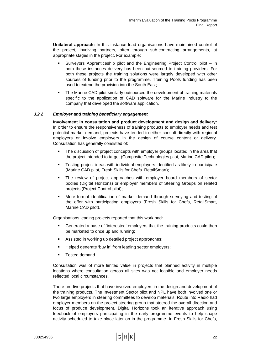**Unilateral approach:** In this instance lead organisations have maintained control of the project, involving partners, often through sub-contracting arrangements, at appropriate stages in the project. For example:

- Surveyors Apprenticeship pilot and the Engineering Project Control pilot in both these instances delivery has been out-sourced to training providers. For both these projects the training solutions were largely developed with other sources of funding prior to the programme. Training Pools funding has been used to extend the provision into the South East;
- The Marine CAD pilot similarly outsourced the development of training materials specific to the application of CAD software for the Marine industry to the company that developed the software application.

# *3.2.2 Employer and training beneficiary engagement*

**Involvement in consultation and product development and design and delivery:**  In order to ensure the responsiveness of training products to employer needs and test potential market demand, projects have tended to either consult directly with regional employers or involve employers in the design of course content or delivery. Consultation has generally consisted of:

- The discussion of project concepts with employer groups located in the area that the project intended to target (Composite Technologies pilot, Marine CAD pilot);
- Testing project ideas with individual employers identified as likely to participate (Marine CAD pilot, Fresh Skills for Chefs. RetailSmart);
- The review of project approaches with employer board members of sector bodies (Digital Horizons) or employer members of Steering Groups on related projects (Project Control pilot);
- More formal identification of market demand through surveying and testing of the offer with participating employers (Fresh Skills for Chefs, RetailSmart, Marine CAD pilot).

Organisations leading projects reported that this work had:

- Generated a base of 'interested' employers that the training products could then be marketed to once up and running;
- **Assisted in working up detailed project approaches;**
- **Helped generate 'buy in' from leading sector employers;**
- **Tested demand.**

Consultation was of more limited value in projects that planned activity in multiple locations where consultation across all sites was not feasible and employer needs reflected local circumstances.

There are five projects that have involved employers in the design and development of the training products. The Investment Sector pilot and NPL have both involved one or two large employers in steering committees to develop materials; Route into Radio had employer members on the project steering group that steered the overall direction and focus of produce development. Digital Horizons took an iterative approach using feedback of employers participating in the early programme events to help shape activity scheduled to take place later on in the programme. In Fresh Skills for Chefs,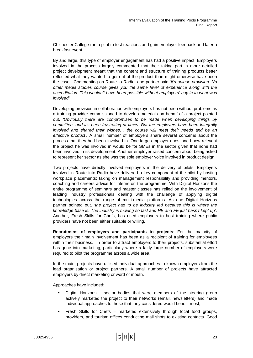Chichester College ran a pilot to test reactions and gain employer feedback and later a breakfast event.

By and large, this type of employer engagement has had a positive impact. Employers involved in the process largely commented that their taking part in more detailed project development meant that the content and structure of training products better reflected what they wanted to get out of the product than might otherwise have been the case. Commenting on Route to Radio, one partner said *'it's unique provision. No other media studies course gives you the same level of experience along with the accreditation. This wouldn't have been possible without employers' buy in to what was involved'.* 

Developing provision in collaboration with employers has not been without problems as a training provider commissioned to develop materials on behalf of a project pointed out. *'Obviously there are compromises to be made when developing things by committee, and it's been frustrating at times. But the employers have been integrally involved and shared their wishes… the course will meet their needs and be an effective product'*. A small number of employers share several concerns about the process that they had been involved in. One large employer questioned how relevant the project he was involved in would be for SMEs in the sector given that none had been involved in its development. Another employer raised concern about being asked to represent her sector as she was the sole employer voice involved in product design.

Two projects have directly involved employers in the delivery of pilots. Employers involved in Route into Radio have delivered a key component of the pilot by hosting workplace placements; taking on management responsibility and providing mentors, coaching and careers advice for interns on the programme. With Digital Horizons the entire programme of seminars and master classes has relied on the involvement of leading industry professionals dealing with the challenge of applying digital technologies across the range of multi-media platforms. As one Digital Horizons partner pointed out, *'the project had to be industry led because this is where the knowledge base is. The industry is moving so fast and HE and FE just hasn't kept up'*. Another, Fresh Skills for Chefs, has used employers to host training where public providers have not been either suitable or willing.

**Recruitment of employers and participants to projects**: For the majority of employers their main involvement has been as a recipient of training for employees within their business. In order to attract employers to their projects, substantial effort has gone into marketing, particularly where a fairly large number of employers were required to pilot the programme across a wide area.

In the main, projects have utilised individual approaches to known employers from the lead organisation or project partners. A small number of projects have attracted employers by direct marketing or word of mouth.

Approaches have included:

- Digital Horizons sector bodies that were members of the steering group actively marketed the project to their networks (email, newsletters) and made individual approaches to those that they considered would benefit most;
- Fresh Skills for Chefs marketed extensively through local food groups, providers, and tourism offices conducting mail shots to existing contacts. Good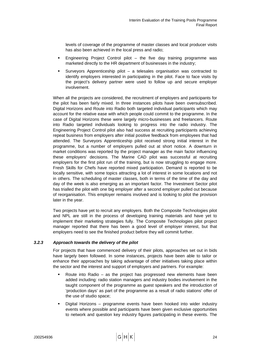levels of coverage of the programme of master classes and local producer visits has also been achieved in the local press and radio;

- Engineering Project Control pilot the five day training programme was marketed directly to the HR department of businesses in the industry;
- Surveyors Apprenticeship pilot a telesales organisation was contracted to identify employers interested in participating in the pilot. Face to face visits by the project's delivery partner were used to follow up and secure employer involvement.

When all the projects are considered, the recruitment of employers and participants for the pilot has been fairly mixed. In three instances pilots have been oversubscribed. Digital Horizons and Route into Radio both targeted individual participants which may account for the relative ease with which people could commit to the programme. In the case of Digital Horizons these were largely micro-businesses and freelancers. Route into Radio targeted individuals looking to progress into the radio industry. The Engineering Project Control pilot also had success at recruiting participants achieving repeat business from employers after initial positive feedback from employees that had attended. The Surveyors Apprenticeship pilot received strong initial interest in the programme, but a number of employers pulled out at short notice. A downturn in market conditions was reported by the project manager as the main factor influencing these employers' decisions. The Marine CAD pilot was successful at recruiting employers for the first pilot run of the training, but is now struggling to engage more. Fresh Skills for Chefs have reported mixed participation. Demand is reported to be locally sensitive, with some topics attracting a lot of interest in some locations and not in others. The scheduling of master classes, both in terms of the time of the day and day of the week is also emerging as an important factor. The Investment Sector pilot has trialled the pilot with one big employer after a second employer pulled out because of reorganisation. This employer remains involved and is looking to pilot the provision later in the year.

Two projects have yet to recruit any employers. Both the Composite Technologies pilot and NPL are still in the process of developing training materials and have yet to implement their marketing strategies fully. The Composite Technologies pilot project manager reported that there has been a good level of employer interest, but that employers need to see the finished product before they will commit further.

# *3.2.3 Approach towards the delivery of the pilot*

For projects that have commenced delivery of their pilots, approaches set out in bids have largely been followed. In some instances, projects have been able to tailor or enhance their approaches by taking advantage of other initiatives taking place within the sector and the interest and support of employers and partners. For example:

- Route into Radio as the project has progressed new elements have been added including: radio station managers and industry bodies involvement in the taught component of the programme as guest speakers and the introduction of 'production days' as part of the programme as a result of radio stations' offer of the use of studio space;
- Digital Horizons programme events have been hooked into wider industry events where possible and participants have been given exclusive opportunities to network and question key industry figures participating in these events. The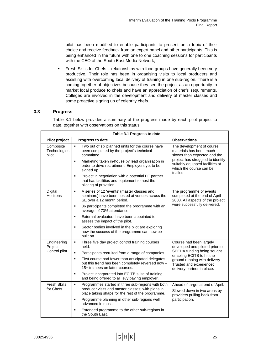<span id="page-34-0"></span>pilot has been modified to enable participants to present on a topic of their choice and receive feedback from an expert panel and other participants. This is being enhanced in the future with one to one coaching sessions for participants with the CEO of the South East Media Network;

**Fresh Skills for Chefs – relationships with food groups have generally been very** productive. Their role has been in organising visits to local producers and assisting with overcoming local delivery of training in one sub-region. There is a coming together of objectives because they see the project as an opportunity to market local produce to chefs and have an appreciation of chefs' requirements. Colleges are involved in the development and delivery of master classes and some proactive signing up of celebrity chefs.

# **3.3 Progress**

Table 3.1 below provides a summary of the progress made by each pilot project to date, together with observations on this status.

| Table 3.1 Progress to date         |                                                                                                                                                 |                                                                                                                                                                                                                |  |  |  |  |  |
|------------------------------------|-------------------------------------------------------------------------------------------------------------------------------------------------|----------------------------------------------------------------------------------------------------------------------------------------------------------------------------------------------------------------|--|--|--|--|--|
| Pilot project                      | Progress to date                                                                                                                                | <b>Observations</b>                                                                                                                                                                                            |  |  |  |  |  |
| Composite<br>Technologies<br>pilot | $\blacksquare$<br>Two out of six planned units for the course have<br>been completed by the project's technical<br>committee.                   | The development of course<br>materials has been much<br>slower than expected and the<br>project has struggled to identify<br>suitably equipped facilities at<br>which the course can be<br>trialled.           |  |  |  |  |  |
|                                    | Marketing taken in-house by lead organisation in<br>$\blacksquare$<br>order to drive recruitment. Employers yet to be<br>signed up.             |                                                                                                                                                                                                                |  |  |  |  |  |
|                                    | Project in negotiation with a potential FE partner<br>$\blacksquare$<br>that has facilities and equipment to host the<br>piloting of provision. |                                                                                                                                                                                                                |  |  |  |  |  |
| Digital<br>Horizons                | ٠<br>A series of 12 'events' (master classes and<br>seminars) have been hosted at venues across the<br>SE over a 12 month period.               | The programme of events<br>completed at the end of April<br>2008. All aspects of the project                                                                                                                   |  |  |  |  |  |
|                                    | 36 participants completed the programme with an<br>$\blacksquare$<br>average of 70% attendance.                                                 | were successfully delivered.                                                                                                                                                                                   |  |  |  |  |  |
|                                    | External evaluators have been appointed to<br>$\blacksquare$<br>assess the impact of the pilot.                                                 |                                                                                                                                                                                                                |  |  |  |  |  |
|                                    | Sector bodies involved in the pilot are exploring<br>$\blacksquare$<br>how the success of the programme can now be<br>built on.                 |                                                                                                                                                                                                                |  |  |  |  |  |
| Engineering<br>Project             | Three five day project control training courses<br>$\blacksquare$<br>held.                                                                      | Course had been largely<br>developed and piloted prior to<br>SEEDA funding being sought<br>enabling ECITB to hit the<br>ground running with delivery.<br>Trusted and experienced<br>delivery partner in place. |  |  |  |  |  |
| Control pilot                      | $\blacksquare$<br>Participants recruited from a range of companies.                                                                             |                                                                                                                                                                                                                |  |  |  |  |  |
|                                    | First course had fewer than anticipated delegates<br>٠<br>but this trend has been completely reversed now -<br>15+ trainees on latter courses.  |                                                                                                                                                                                                                |  |  |  |  |  |
|                                    | Project incorporated into ECITB suite of training<br>$\blacksquare$<br>and being offered to all levy paying employer.                           |                                                                                                                                                                                                                |  |  |  |  |  |
| <b>Fresh Skills</b>                | $\blacksquare$<br>Programmes started in three sub-regions with both                                                                             | Ahead of target at end of April.<br>Slowed down in two areas by<br>providers pulling back from                                                                                                                 |  |  |  |  |  |
| for Chefs                          | producer visits and master classes; with plans in<br>place taking shape for the rest of the programme.                                          |                                                                                                                                                                                                                |  |  |  |  |  |
|                                    | Programme planning in other sub-regions well<br>$\blacksquare$<br>advanced in most.                                                             | participation.                                                                                                                                                                                                 |  |  |  |  |  |
|                                    | Extended programme to the other sub-regions in<br>$\blacksquare$<br>the South East.                                                             |                                                                                                                                                                                                                |  |  |  |  |  |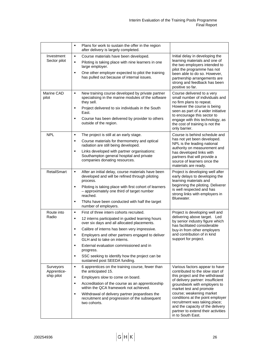|                          | ٠              | Plans for work to sustain the offer in the region<br>after delivery is largely completed.                                |                                                                                                                                                                                                                                                                                                                                 |
|--------------------------|----------------|--------------------------------------------------------------------------------------------------------------------------|---------------------------------------------------------------------------------------------------------------------------------------------------------------------------------------------------------------------------------------------------------------------------------------------------------------------------------|
| Investment               | $\blacksquare$ | Course materials have been developed.                                                                                    | Initial delay in developing the                                                                                                                                                                                                                                                                                                 |
| Sector pilot             | ٠              | Piloting is taking place with nine learners in one<br>large employer.                                                    | learning materials and one of<br>the two employers intended to<br>pilot the programme has not<br>been able to do so. However,<br>partnership arrangements are<br>strong and feedback has been<br>positive so far.                                                                                                               |
|                          | ٠              | One other employer expected to pilot the training<br>has pulled out because of internal issues.                          |                                                                                                                                                                                                                                                                                                                                 |
| Marine CAD<br>pilot      | $\blacksquare$ | New training course developed by private partner<br>specialising in the marine modules of the software<br>they sell.     | Course delivered to a very<br>small number of individuals and<br>no firm plans to repeat.                                                                                                                                                                                                                                       |
|                          | $\blacksquare$ | Project delivered to six individuals in the South<br>East.                                                               | However the course is being<br>seen as part of a wider initiative<br>to encourage this sector to                                                                                                                                                                                                                                |
|                          | ٠              | Course has been delivered by provider to others<br>outside of the region.                                                | engage with this technology, as<br>the cost of training is not the<br>only barrier.                                                                                                                                                                                                                                             |
| <b>NPL</b>               | ٠              | The project is still at an early stage.                                                                                  | Course is behind schedule and<br>has not yet been developed.<br>NPL is the leading national<br>authority on measurement and<br>has developed links with<br>partners that will provide a<br>source of learners once the<br>materials are ready.                                                                                  |
|                          | $\blacksquare$ | Course materials for thermometry and optical<br>radiation are still being developed.                                     |                                                                                                                                                                                                                                                                                                                                 |
|                          | ٠              | Links developed with partner organisations:<br>Southampton general hospital and private<br>companies donating resources. |                                                                                                                                                                                                                                                                                                                                 |
| <b>RetailSmart</b>       | ٠              | After an initial delay, course materials have been<br>developed and will be refined through piloting<br>process.         | Project is developing well after<br>early delays to developing the<br>learning materials and<br>beginning the piloting. Deliverer<br>is well respected and has<br>strong links with employers in<br>Bluewater.                                                                                                                  |
|                          | ٠              | Piloting is taking place with first cohort of learners<br>- approximately one third of target number<br>reached.         |                                                                                                                                                                                                                                                                                                                                 |
|                          | $\blacksquare$ | TNAs have been conducted with half the target<br>number of employers.                                                    |                                                                                                                                                                                                                                                                                                                                 |
| Route into               | ٠              | First of three intern cohorts recruited.                                                                                 | Project is developing well and                                                                                                                                                                                                                                                                                                  |
| Radio                    | ٠              | 12 interns participated in guided learning hours<br>over six days and all allocated placements.                          | delivering above target. Led<br>by senior industry figure which<br>has facilitated considerable                                                                                                                                                                                                                                 |
|                          | ٠              | Calibre of interns has been very impressive.                                                                             | buy-in from other employers                                                                                                                                                                                                                                                                                                     |
|                          | ٠              | Employers and other partners engaged to deliver<br>GLH and to take on interns.                                           | and contribution of in kind<br>support for project.                                                                                                                                                                                                                                                                             |
|                          | $\blacksquare$ | External evaluation commissioned and in<br>progress.                                                                     |                                                                                                                                                                                                                                                                                                                                 |
|                          | ٠              | SSC seeking to identify how the project can be<br>sustained post SEEDA funding.                                          |                                                                                                                                                                                                                                                                                                                                 |
| Surveyors<br>Apprentice- | $\blacksquare$ | 6 apprentices on the training course, fewer than<br>the anticipated 15.                                                  | Various factors appear to have<br>contributed to the slow start of                                                                                                                                                                                                                                                              |
| ship pilot               | $\blacksquare$ | Employers slow to come on board.                                                                                         | this project and the withdrawal<br>of delivery partner: insufficient<br>groundwork with employers to<br>market test and promote<br>course; weakening market<br>conditions at the point employer<br>recruitment was taking place;<br>and the capacity of the delivery<br>partner to extend their activities<br>in to South East. |
|                          | ٠              | Accreditation of the course as an apprenticeship<br>within the QCA framework not achieved.                               |                                                                                                                                                                                                                                                                                                                                 |
|                          | ٠              | Withdrawal of delivery partner jeopardises the<br>recruitment and progression of the subsequent<br>two cohorts.          |                                                                                                                                                                                                                                                                                                                                 |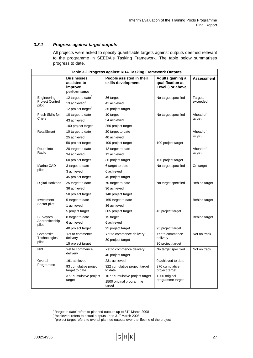# *3.3.1 Progress against target outputs*

All projects were asked to specify quantifiable targets against outputs deemed relevant to the programme in SEEDA's Tasking Framework. The table below summarises progress to date.

| Table 3.2 Progress against RDA Tasking Framework Outputs |                                                            |                                                                     |                                                          |                   |  |  |
|----------------------------------------------------------|------------------------------------------------------------|---------------------------------------------------------------------|----------------------------------------------------------|-------------------|--|--|
|                                                          | <b>Businesses</b><br>assisted to<br>improve<br>performance | People assisted in their<br>skills development                      | Adults gaining a<br>qualification at<br>Level 3 or above | <b>Assessment</b> |  |  |
| Engineering                                              | 12 target to date $3$                                      | 36 target                                                           | No target specified                                      | <b>Targets</b>    |  |  |
| <b>Project Control</b><br>pilot                          | 13 achieved <sup>4</sup>                                   | 41 achieved                                                         |                                                          | exceeded          |  |  |
|                                                          | 12 project target <sup>5</sup>                             | 36 project target                                                   |                                                          |                   |  |  |
| Fresh Skills for                                         | 10 target to date                                          | 10 target                                                           | No target specified                                      | Ahead of          |  |  |
| Chefs                                                    | 43 achieved                                                | 54 achieved                                                         |                                                          | target            |  |  |
|                                                          | 100 project target                                         | 250 project target                                                  |                                                          |                   |  |  |
| <b>RetailSmart</b>                                       | 10 target to date                                          | 20 target to date                                                   |                                                          | Ahead of          |  |  |
|                                                          | 25 achieved                                                | 40 achieved                                                         |                                                          | target            |  |  |
|                                                          | 50 project target                                          | 100 project target                                                  | 100 project target                                       |                   |  |  |
| Route into                                               | 20 target to date                                          | 12 target to date                                                   |                                                          | Ahead of          |  |  |
| Radio                                                    | 34 achieved                                                | 12 achieved                                                         |                                                          | target            |  |  |
|                                                          | 60 project target                                          | 36 project target                                                   | 100 project target                                       |                   |  |  |
| Marine CAD                                               | 3 target to date                                           | 6 target to date                                                    | No target specified                                      | On target         |  |  |
| pilot                                                    | 3 achieved                                                 | 6 achieved                                                          |                                                          |                   |  |  |
|                                                          | 45 project target                                          | 45 project target                                                   |                                                          |                   |  |  |
| <b>Digital Horizons</b>                                  | 25 target to date                                          | 70 target to date                                                   | No target specified                                      | Behind target     |  |  |
|                                                          | 36 achieved                                                | 36 achieved                                                         |                                                          |                   |  |  |
|                                                          | 50 project target                                          | 140 project target                                                  |                                                          |                   |  |  |
| Investment                                               | 5 target to date                                           | 165 target to date                                                  |                                                          | Behind target     |  |  |
| Sector pilot                                             | 1 achieved                                                 | 36 achieved                                                         |                                                          |                   |  |  |
|                                                          | 5 project target                                           | 305 project target                                                  | 45 project target                                        |                   |  |  |
| Surveyors                                                | 8 target to date                                           | 15 target                                                           |                                                          | Behind target     |  |  |
| Apprenticeship<br>pilot                                  | 6 achieved                                                 | 6 achieved                                                          |                                                          |                   |  |  |
|                                                          | 40 project target                                          | 95 project target                                                   | 95 project target                                        |                   |  |  |
| Composite<br>Technologies                                | Yet to commence<br>delivery                                | Yet to commence delivery<br>30 project target                       | Yet to commence<br>delivery                              | Not on track      |  |  |
| pilot                                                    | 15 project target                                          |                                                                     | 30 project target                                        |                   |  |  |
| <b>NPL</b>                                               | Yet to commence                                            | Yet to commence delivery                                            | No target specified                                      | Not on track      |  |  |
|                                                          | delivery                                                   | 40 project target                                                   |                                                          |                   |  |  |
| Overall                                                  | 161 achieved                                               | 231 achieved                                                        | 0 achieved to date                                       |                   |  |  |
| Programme                                                | 93 cumulative project<br>target to date                    | 322 cumulative project target<br>to date                            | 370 cumulative<br>project target                         |                   |  |  |
|                                                          | 377 cumulative project<br>target                           | 1077 cumulative project target<br>1500 original programme<br>target | 1200 original<br>programme target                        |                   |  |  |

l

<span id="page-36-0"></span> $3$  'target to date' refers to planned outputs up to  $31<sup>st</sup>$  March 2008

<span id="page-36-2"></span><span id="page-36-1"></span><sup>&</sup>lt;sup>4</sup> 'achieved' refers to actual outputs up to 31<sup>st</sup> March 2008<br><sup>5</sup> 'project target refers to overall planned outputs over the lifetime of the project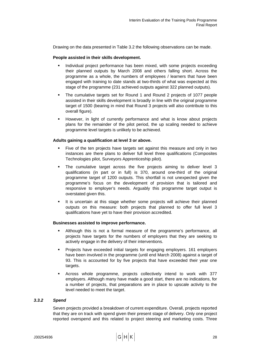Drawing on the data presented in Table 3.2 the following observations can be made.

#### **People assisted in their skills development.**

- **Individual project performance has been mixed, with some projects exceeding** their planned outputs by March 2008 and others falling short. Across the programme as a whole, the numbers of employees / learners that have been engaged with training to date stands at two-thirds of what was expected at this stage of the programme (231 achieved outputs against 322 planned outputs).
- The cumulative targets set for Round 1 and Round 2 projects of 1077 people assisted in their skills development is broadly in line with the original programme target of 1500 (bearing in mind that Round 3 projects will also contribute to this overall figure).
- **However, in light of currently performance and what is know about projects** plans for the remainder of the pilot period, the up scaling needed to achieve programme level targets is unlikely to be achieved.

#### **Adults gaining a qualification at level 3 or above.**

- Five of the ten projects have targets set against this measure and only in two instances are there plans to deliver full level three qualifications (Composites Technologies pilot, Surveyors Apprenticeship pilot).
- The cumulative target across the five projects aiming to deliver level 3 qualifications (in part or in full) is 370, around one-third of the original programme target of 1200 outputs. This shortfall is not unexpected given the programme's focus on the development of provision that is tailored and responsive to employer's needs. Arguably this programme target output is overstated given this.
- It is uncertain at this stage whether some projects will achieve their planned outputs on this measure: both projects that planned to offer full level 3 qualifications have yet to have their provision accredited.

#### **Businesses assisted to improve performance.**

- Although this is not a formal measure of the programme's performance, all projects have targets for the numbers of employers that they are seeking to actively engage in the delivery of their interventions.
- Projects have exceeded initial targets for engaging employers. 161 employers have been involved in the programme (until end March 2008) against a target of 93. This is accounted for by five projects that have exceeded their year one targets.
- Across whole programme, projects collectively intend to work with 377 employers. Although many have made a good start, there are no indications, for a number of projects, that preparations are in place to upscale activity to the level needed to meet the target.

#### *3.3.2 Spend*

Seven projects provided a breakdown of current expenditure. Overall, projects reported that they are on track with spend given their present stage of delivery. Only one project reported overspend and this related to project steering and marketing costs. Three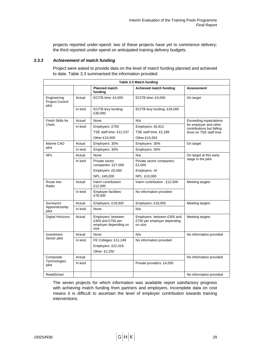projects reported under-spend: two of these projects have yet to commence delivery; the third reported under-spend on anticipated training delivery budgets.

# *3.3.3 Achievement of match funding*

Project were asked to provide data on the level of match funding planned and achieved to date. Table 3.3 summarised the information provided.

| Table 3.3 Match funding                        |          |                                                                          |                                                                       |                                                                                                                 |  |
|------------------------------------------------|----------|--------------------------------------------------------------------------|-----------------------------------------------------------------------|-----------------------------------------------------------------------------------------------------------------|--|
|                                                |          | <b>Planned match</b><br>funding                                          | Achieved match funding                                                | <b>Assessment</b>                                                                                               |  |
| Engineering<br><b>Project Control</b><br>pilot | Actual   | ECITB time: £4,000                                                       | ECITB time: £4,000                                                    | On target                                                                                                       |  |
|                                                | In kind  | ECITB levy funding:<br>£30,000                                           | ECITB levy funding: £28,000                                           |                                                                                                                 |  |
| Fresh Skills for                               | Actual:  | None                                                                     | N/a                                                                   | <b>Exceeding expectations</b><br>for employer and other<br>contributions but falling<br>short on TSE staff time |  |
| Chefs                                          | In kind: | Employers: £700                                                          | Employers: £6,912                                                     |                                                                                                                 |  |
|                                                |          | TSE staff time: £12,237                                                  | TSE staff time: £2,189                                                |                                                                                                                 |  |
|                                                |          | Other:£10,000                                                            | Other:£15,562                                                         |                                                                                                                 |  |
| Marine CAD                                     | Actual   | Employers: 30%                                                           | Employers: 30%                                                        | On target                                                                                                       |  |
| pilot                                          | In kind  | Employers: 30%                                                           | Employers: 30%                                                        |                                                                                                                 |  |
| <b>NPL</b>                                     | Actual   | None                                                                     | N/a                                                                   | On target at this early<br>stage in the pilot                                                                   |  |
|                                                | In kind  | Private sector<br>companies: £27,000                                     | Private sector companies:<br>£2,000                                   |                                                                                                                 |  |
|                                                |          | Employers: £5,000                                                        | Employers: nil                                                        |                                                                                                                 |  |
|                                                |          | NPL: £45,000                                                             | NPL: £10,000                                                          |                                                                                                                 |  |
| Route into<br>Radio                            | Actual   | Intern contribution:<br>£12,000                                          | Intern contribution - £12,000                                         | Meeting targets                                                                                                 |  |
|                                                | In kind  | Employer facilities:<br>£78,000                                          | No information provided                                               |                                                                                                                 |  |
| Surveyors<br>Apprenticeship<br>pilot           | Actual   | Employers: £18,000                                                       | Employers: £18,000                                                    | Meeting targets                                                                                                 |  |
|                                                | In kind  | None                                                                     | N/a                                                                   |                                                                                                                 |  |
| Digital Horizons                               | Actual   | Employers: between<br>£300 and £750 per<br>employer depending on<br>size | Employers: between £300 and<br>£750 per employer depending<br>on size | Meeting targets                                                                                                 |  |
| Investment<br>Sector pilot                     | Actual   | None                                                                     | N/a                                                                   | No information provided                                                                                         |  |
|                                                | In kind  | FE Colleges: £11,249                                                     | No information provided                                               |                                                                                                                 |  |
|                                                |          | Employers: £22,018                                                       |                                                                       |                                                                                                                 |  |
|                                                |          | Other: £2,250                                                            |                                                                       |                                                                                                                 |  |
| Composite<br>Technologies<br>pilot             | Actual   |                                                                          |                                                                       | No information provided                                                                                         |  |
|                                                | In kind  |                                                                          | Private providers: £4,000                                             |                                                                                                                 |  |
| RetailSmart                                    |          |                                                                          |                                                                       | No information provided                                                                                         |  |

The seven projects for which information was available report satisfactory progress with achieving match funding from partners and employers. Incomplete data on cost means it is difficult to ascertain the level of employer contribution towards training interventions.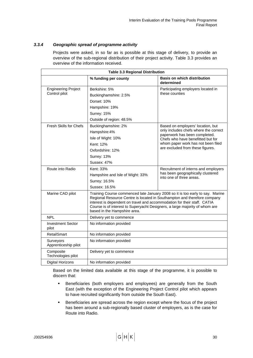# *3.3.4 Geographic spread of programme activity*

Projects were asked, in so far as is possible at this stage of delivery, to provide an overview of the sub-regional distribution of their project activity. Table 3.3 provides an overview of the information received.

| <b>Table 3.3 Regional Distribution</b> |                                                                                                                                                                                                                                                                                                                                                      |                                                                                                             |  |  |
|----------------------------------------|------------------------------------------------------------------------------------------------------------------------------------------------------------------------------------------------------------------------------------------------------------------------------------------------------------------------------------------------------|-------------------------------------------------------------------------------------------------------------|--|--|
|                                        | % funding per county                                                                                                                                                                                                                                                                                                                                 | <b>Basis on which distribution</b><br>determined                                                            |  |  |
| <b>Engineering Project</b>             | Berkshire: 5%                                                                                                                                                                                                                                                                                                                                        | Participating employers located in<br>these counties                                                        |  |  |
| Control pilot                          | Buckinghamshire: 2.5%                                                                                                                                                                                                                                                                                                                                |                                                                                                             |  |  |
|                                        | Dorset: 10%                                                                                                                                                                                                                                                                                                                                          |                                                                                                             |  |  |
|                                        | Hampshire: 19%                                                                                                                                                                                                                                                                                                                                       |                                                                                                             |  |  |
|                                        | Surrey: 15%                                                                                                                                                                                                                                                                                                                                          |                                                                                                             |  |  |
|                                        | Outside of region: 48.5%                                                                                                                                                                                                                                                                                                                             |                                                                                                             |  |  |
| <b>Fresh Skills for Chefs</b>          | Buckinghamshire: 2%                                                                                                                                                                                                                                                                                                                                  | Based on employers' location, but<br>only includes chefs where the correct<br>paperwork has been completed. |  |  |
|                                        | Hampshire:4%                                                                                                                                                                                                                                                                                                                                         |                                                                                                             |  |  |
|                                        | Isle of Wight: 10%                                                                                                                                                                                                                                                                                                                                   | Chefs who have benefitted but for                                                                           |  |  |
|                                        | Kent: 12%                                                                                                                                                                                                                                                                                                                                            | whom paper work has not been filed                                                                          |  |  |
|                                        | Oxfordshire: 12%                                                                                                                                                                                                                                                                                                                                     | are excluded from these figures.                                                                            |  |  |
|                                        | Surrey: 13%                                                                                                                                                                                                                                                                                                                                          |                                                                                                             |  |  |
|                                        | Sussex: 47%                                                                                                                                                                                                                                                                                                                                          |                                                                                                             |  |  |
| Route into Radio                       | Kent: 33%                                                                                                                                                                                                                                                                                                                                            | Recruitment of interns and employers                                                                        |  |  |
|                                        | Hampshire and Isle of Wight: 33%                                                                                                                                                                                                                                                                                                                     | has been geographically clustered<br>into one of three areas.                                               |  |  |
|                                        | Surrey: 16.5%                                                                                                                                                                                                                                                                                                                                        |                                                                                                             |  |  |
|                                        | Sussex: 16.5%                                                                                                                                                                                                                                                                                                                                        |                                                                                                             |  |  |
| Marine CAD pilot                       | Training Course commenced late January 2008 so it is too early to say. Marine<br>Regional Resource Centre is located in Southampton and therefore company<br>interest is dependent on travel and accommodation for their staff. CATIA<br>Course is of interest to Superyacht Designers, a large majority of whom are<br>based in the Hampshire area. |                                                                                                             |  |  |
| <b>NPL</b>                             | Delivery yet to commence                                                                                                                                                                                                                                                                                                                             |                                                                                                             |  |  |
| <b>Investment Sector</b><br>pilot      | No information provided                                                                                                                                                                                                                                                                                                                              |                                                                                                             |  |  |
| <b>RetailSmart</b>                     | No information provided                                                                                                                                                                                                                                                                                                                              |                                                                                                             |  |  |
| Surveyors<br>Apprenticeship pilot      | No information provided                                                                                                                                                                                                                                                                                                                              |                                                                                                             |  |  |
| Composite<br>Technologies pilot        | Delivery yet to commence                                                                                                                                                                                                                                                                                                                             |                                                                                                             |  |  |
| <b>Digital Horizons</b>                | No information provided                                                                                                                                                                                                                                                                                                                              |                                                                                                             |  |  |

Based on the limited data available at this stage of the programme, it is possible to discern that:

- **Beneficiaries (both employers and employees) are generally from the South** East (with the exception of the Engineering Project Control pilot which appears to have recruited significantly from outside the South East).
- **Beneficiaries are spread across the region except where the focus of the project** has been around a sub-regionally based cluster of employers, as is the case for Route into Radio.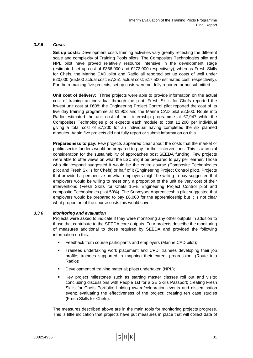## *3.3.5 Costs*

**Set up costs:** Development costs training activities vary greatly reflecting the different scale and complexity of Training Pools pilots. The Composites Technologies pilot and NPL pilot have proved relatively resource intensive in the development stage (estimated set up cost of £366,000 and £272,000 respectively), whereas Fresh Skills for Chefs, the Marine CAD pilot and Radio all reported set up costs of well under £20,000 (£5,500 actual cost; £7,251 actual cost; £17,500 estimated cost, respectively). For the remaining five projects, set up costs were not fully reported or not submitted.

**Unit cost of delivery:** Three projects were able to provide information on the actual cost of training an individual through the pilot. Fresh Skills for Chefs reported the lowest unit cost at £608; the Engineering Project Control pilot reported the cost of its five day training programme at £1,903 and the Marine CAD pilot £2,500. Route into Radio estimated the unit cost of their internship programme at £7,947 while the Composites Technologies pilot expects each module to cost £1,200 per individual giving a total cost of £7,200 for an individual having completed the six planned modules. Again five projects did not fully report or submit information on this.

**Preparedness to pay:** Few projects appeared clear about the costs that the market or public sector funders would be prepared to pay for their interventions. This is a crucial consideration for the sustainability of approaches post SEEDA funding. Few projects were able to offer views on what the LSC might be prepared to pay per learner. Those who did respond suggested it would be the entire course (Composite Technologies pilot and Fresh Skills for Chefs) or half of it (Engineering Project Control pilot). Projects that provided a perspective on what employers might be willing to pay suggested that employers would be willing to meet only a proportion of the unit delivery cost of their interventions (Fresh Skills for Chefs 15%, Engineering Project Control pilot and composite Technologies pilot 50%). The Surveyors Apprenticeship pilot suggested that employers would be prepared to pay £6,000 for the apprenticeship but it is not clear what proportion of the course costs this would cover.

## *3.3.6 Monitoring and evaluation*

Projects were asked to indicate if they were monitoring any other outputs in addition to those that contribute to the SEEDA core outputs. Four projects describe the monitoring of measures additional to those required by SEEDA and provided the following information on this:

- Feedback from course participants and employers (Marine CAD pilot);
- Trainees undertaking work placement and CPD; trainees developing their job profile; trainees supported in mapping their career progression; (Route into Radio);
- **Development of training material; pilots undertaken (NPL);**
- Key project milestones such as starting master classes roll out and visits; concluding discussions with People 1st for a SE Skills Passport; creating Fresh Skills for Chefs Portfolio; holding award/celebration events and dissemination event; evaluating the effectiveness of the project; creating ten case studies (Fresh Skills for Chefs).

The measures described above are in the main tools for monitoring projects progress. This is little indication that projects have put measures in place that will collect data of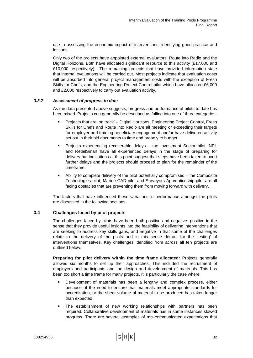use in assessing the economic impact of interventions, identifying good practice and lessons.

Only two of the projects have appointed external evaluators; Route into Radio and the Digital Horizons. Both have allocated significant resource to this activity (£17,000 and £10,000 respectively). The remaining projects that have provided information state that internal evaluations will be carried out. Most projects indicate that evaluation costs will be absorbed into general project management costs with the exception of Fresh Skills for Chefs, and the Engineering Project Control pilot which have allocated £6,000 and £2,000 respectively to carry out evaluation activity.

## *3.3.7 Assessment of progress to date*

As the data presented above suggests, progress and performance of pilots to date has been mixed. Projects can generally be described as falling into one of three categories:

- Projects that are 'on track' Digital Horizons, Engineering Project Control, Fresh Skills for Chefs and Route into Radio are all meeting or exceeding their targets for employer and training beneficiary engagement and/or have delivered activity set out in their bid documents to time and broadly to budget.
- Projects experiencing recoverable delays the Investment Sector pilot, NPL and RetailSmart have all experienced delays in the stage of preparing for delivery but indications at this point suggest that steps have been taken to avert further delays and the projects should proceed to plan for the remainder of the timeframe.
- Ability to complete delivery of the pilot potentially compromised the Composite Technologies pilot, Marine CAD pilot and Surveyors Apprenticeship pilot are all facing obstacles that are preventing them from moving forward with delivery.

The factors that have influenced these variations in performance amongst the pilots are discussed in the following sections.

## **3.4 Challenges faced by pilot projects**

The challenges faced by pilots have been both positive and negative: positive in the sense that they provide useful insights into the feasibility of delivering interventions that are seeking to address key skills gaps, and negative in that some of the challenges relate to the delivery of the pilots and in this sense detract for the 'testing' of interventions themselves. Key challenges identified from across all ten projects are outlined below:

**Preparing for pilot delivery within the time frame allocated:** Projects generally allowed six months to set up their approaches. This included the recruitment of employers and participants and the design and development of materials. This has been too short a time frame for many projects. It is particularly the case where:

- Development of materials has been a lengthy and complex process, either because of the need to ensure that materials meet appropriate standards for accreditation, or the shear volume of material to be produced has taken longer than expected.
- The establishment of new working relationships with partners has been required. Collaborative development of materials has in some instances slowed progress. There are several examples of mis-communicated expectations that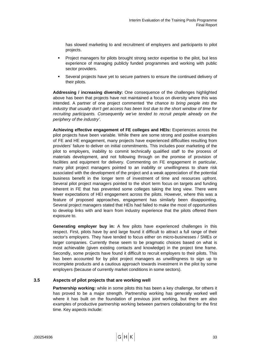has slowed marketing to and recruitment of employers and participants to pilot projects.

- Project managers for pilots brought strong sector expertise to the pilot, but less experience of managing publicly funded programmes and working with public sector providers.
- Several projects have yet to secure partners to ensure the continued delivery of their pilots.

**Addressing / increasing diversity:** One consequence of the challenges highlighted above has been that projects have not maintained a focus on diversity where this was intended. A partner of one project commented *'the chance to bring people into the industry that usually don't get access has been lost due to the short window of time for recruiting participants. Consequently we've tended to recruit people already on the periphery of the industry'*.

**Achieving effective engagement of FE colleges and HEIs:** Experiences across the pilot projects have been variable. While there are some strong and positive examples of FE and HE engagement, many projects have experienced difficulties resulting from providers' failure to deliver on initial commitments. This includes poor marketing of the pilot to employers, inability to commit technically qualified staff to the process of materials development, and not following through on the promise of provision of facilities and equipment for delivery. Commenting on FE engagement in particular, many pilot project managers pointed to an inability or unwillingness to share risk associated with the development of the project and a weak appreciation of the potential business benefit in the longer term of investment of time and resources upfront. Several pilot project managers pointed to the short term focus on targets and funding inherent in FE that has prevented some colleges taking the long view. There were fewer expectations of HEI engagement across the pilots. However, where this was a feature of proposed approaches, engagement has similarly been disappointing. Several project managers stated that HEIs had failed to make the most of opportunities to develop links with and learn from industry experience that the pilots offered them exposure to.

**Generating employer buy in:** A few pilots have experienced challenges in this respect. First, pilots have by and large found it difficult to attract a full range of their sector's employers. They have tended to focus either on micro-businesses / SMEs or larger companies. Currently these seem to be pragmatic choices based on what is most achievable (given existing contacts and knowledge) in the project time frame. Secondly, some projects have found it difficult to recruit employers to their pilots. This has been accounted for by pilot project managers as unwillingness to sign up to incomplete products and a cautious approach towards investment in the pilot by some employers (because of currently market conditions in some sectors).

# **3.5 Aspects of pilot projects that are working well**

**Partnership working:** while in some pilots this has been a key challenge, for others it has proved to be a major strength. Partnership working has generally worked well where it has built on the foundation of previous joint working, but there are also examples of productive partnership working between partners collaborating for the first time. Key aspects include: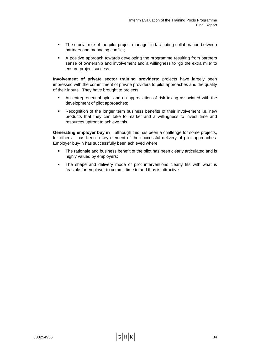- The crucial role of the pilot project manager in facilitating collaboration between partners and managing conflict;
- A positive approach towards developing the programme resulting from partners sense of ownership and involvement and a willingness to 'go the extra mile' to ensure project success.

**Involvement of private sector training providers:** projects have largely been impressed with the commitment of private providers to pilot approaches and the quality of their inputs. They have brought to projects:

- An entrepreneurial spirit and an appreciation of risk taking associated with the development of pilot approaches;
- Recognition of the longer term business benefits of their involvement i.e. new products that they can take to market and a willingness to invest time and resources upfront to achieve this.

**Generating employer buy in** – although this has been a challenge for some projects, for others it has been a key element of the successful delivery of pilot approaches. Employer buy-in has successfully been achieved where:

- The rationale and business benefit of the pilot has been clearly articulated and is highly valued by employers;
- The shape and delivery mode of pilot interventions clearly fits with what is feasible for employer to commit time to and thus is attractive.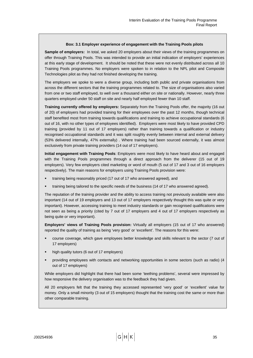#### **Box: 3.1 Employer experience of engagement with the Training Pools pilots**

**Sample of employers:** In total, we asked 20 employers about their views of the training programmes on offer through Training Pools. This was intended to provide an initial indication of employers' experiences at this early stage of development. It should be noted that these were not evenly distributed across all 10 Training Pools programmes. No employers were spoken to in relation to the NPL pilot and Composite Technologies pilot as they had not finished developing the training.

The employers we spoke to were a diverse group, including both public and private organisations from across the different sectors that the training programmes related to. The size of organisations also varied from one or two staff employed, to well over a thousand either on site or nationally. However, nearly three quarters employed under 50 staff on site and nearly half employed fewer than 10 staff.

**Training currently offered by employers:** Separately from the Training Pools offer, the majority (16 out of 20) of employers had provided training for their employees over the past 12 months, though technical staff benefited most from training towards qualifications and training to achieve occupational standards (6 out of 16, with no other types of employees identified). Employers were most likely to have provided CPD training (provided by 11 out of 17 employers) rather than training towards a qualification or industry recognised occupational standards and it was split roughly evenly between internal and external delivery (53% delivered internally, 47% externally) . Where training had been sourced externally, it was almost exclusively from private training providers (14 out of 17 employers).

**Initial engagement with Training Pools**: Employers were most likely to have heard about and engaged with the Training Pools programmes through a direct approach from the deliverer (15 out of 19 employers). Very few employers cited marketing or word of mouth (5 out of 17 and 3 out of 16 employers respectively). The main reasons for employers using Training Pools provision were:

- training being reasonably priced (17 out of 17 who answered agreed), and
- training being tailored to the specific needs of the business (14 of 17 who answered agreed).

The reputation of the training provider and the ability to access training not previously available were also important (14 out of 19 employers and 13 out of 17 employers respectively thought this was quite or very important). However, accessing training to meet industry standards or gain recognised qualifications were not seen as being a priority (cited by 7 out of 17 employers and 4 out of 17 employers respectively as being quite or very important).

**Employers' views of Training Pools provision:** Virtually all employers (15 out of 17 who answered) reported the quality of training as being 'very good' or 'excellent'. The reasons for this were:

- course coverage, which gave employees better knowledge and skills relevant to the sector (7 out of 17 employers)
- high quality tutors (6 out of 17 employers)
- providing employees with contacts and networking opportunities in some sectors (such as radio) (4 out of 17 employers)

While employers did highlight that there had been some 'teething problems', several were impressed by how responsive the delivery organisation was to the feedback they had given.

All 20 employers felt that the training they accessed represented 'very good' or 'excellent' value for money. Only a small minority (3 out of 15 employers) thought that the training cost the same or more than other comparable training.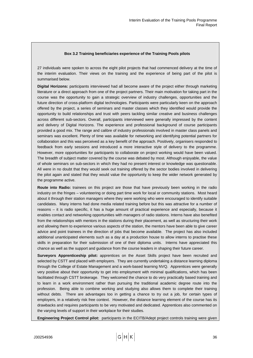#### **Box 3.2 Training beneficiaries experience of the Training Pools pilots**

27 individuals were spoken to across the eight pilot projects that had commenced delivery at the time of the interim evaluation. Their views on the training and the experience of being part of the pilot is summarised below.

**Digital Horizons:** participants interviewed had all become aware of the project either through marketing literature or a direct approach from one of the project partners. Their main motivation for taking part in the course was the opportunity to gain a strategic overview of industry challenges, opportunities and the future direction of cross-platform digital technologies. Participants were particularly keen on the approach offered by the project, a series of seminars and master classes which they identified would provide the opportunity to build relationships and trust with peers tackling similar creative and business challenges across different sub-sectors. Overall, participants interviewed were generally impressed by the content and delivery of Digital Horizons. The experience and professional background of course participants provided a good mix. The range and calibre of industry professionals involved in master class panels and seminars was excellent. Plenty of time was available for networking and identifying potential partners for collaboration and this was perceived as a key benefit of the approach. Positively, organisers responded to feedback from early sessions and introduced a more interactive style of delivery to the programme. However, more opportunities for participants to collaborate on project working would have been valued. The breadth of subject matter covered by the course was debated by most. Although enjoyable, the value of whole seminars on sub-sectors in which they had no present interest or knowledge was questionable. All were in no doubt that they would seek out training offered by the sector bodies involved in delivering the pilot again and stated that they would value the opportunity to keep the wider network generated by the programme active.

**Route into Radio:** trainees on this project are those that have previously been working in the radio industry on the fringes – volunteering or doing part time work for local or community stations. Most heard about it through their station managers where they were working who were encouraged to identify suitable candidates. Many interns had done media related training before but this was attractive for a number of reasons – it is radio specific, it has a huge amount of practical experience and especially, because it enables contact and networking opportunities with managers of radio stations. Interns have also benefited from the relationships with mentors in the stations during their placement, as well as structuring their work and allowing them to experience various aspects of the station, the mentors have been able to give career advice and point trainees in the direction of jobs that become available. The project has also included additional unanticipated elements such as a day at a production house to allow interns to practise these skills in preparation for their submission of one of their diploma units. Interns have appreciated this chance as well as the support and guidance from the course leaders in shaping their future career.

**Surveyors Apprenticeship pilot:** apprentices on the Asset Skills project have been recruited and selected by CSTT and placed with employers. They are currently undertaking a distance learning diploma through the College of Estate Management and a work-based learning NVQ. Apprentices were generally very positive about their opportunity to get into employment with minimal qualifications, which has been facilitated through CSTT brokerage. They welcomed the chance to do very practically based training and to learn in a work environment rather than pursuing the traditional academic degree route into the profession. Being able to combine working and studying also allows them to complete their training without debts. There are advantages too in getting a chance to try out a job, for certain types of employers, in a relatively risk free context. However, the distance learning element of the course has its drawbacks and requires participants to be very motivated and dedicated. Apprentices also commented on the varying levels of support in their workplace for their studies.

**Engineering Project Control pilot:** participants in the ECITB/Adept project controls training were given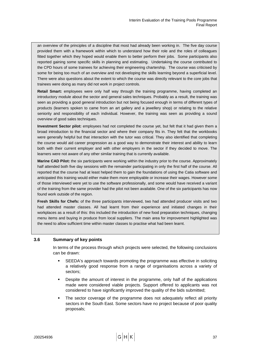an overview of the principles of a discipline that most had already been working in. The five day course provided them with a framework within which to understand how their role and the roles of colleagues fitted together which they hoped would enable them to better perform their jobs. Some participants also reported gaining some specific skills in planning and estimating. Undertaking the course contributed to the CPD hours of some trainees for achieving their engineering chartership. The course was criticised by some for being too much of an overview and not developing the skills learning beyond a superficial level. There were also questions about the extent to which the course was directly relevant to the core jobs that trainees were doing as many did not work in project controls.

**Retail Smart:** employees were only half way through the training programme, having completed an introductory module about the sector and general sales techniques. Probably as a result, the training was seen as providing a good general introduction but not being focused enough in terms of different types of products (learners spoken to came from an art gallery and a jewellery shop) or relating to the relative seniority and responsibility of each individual. However, the training was seen as providing a sound overview of good sales techniques.

**Investment Sector pilot:** employees had not completed the course yet, but felt that it had given them a broad introduction to the financial sector and where their company fits in. They felt that the workbooks were generally helpful but that interaction with the tutor was critical. They also identified that completing the course would aid career progression as a good way to demonstrate their interest and ability to learn both with their current employer and with other employers in the sector if they decided to move. The learners were not aware of any other similar training that is currently available.

**Marine CAD Pilot:** the six participants were working within the industry prior to the course. Approximately half attended both five day sessions with the remainder participating in only the first half of the course. All reported that the course had at least helped them to gain the foundations of using the Catia software and anticipated this training would either make them more employable or increase their wages. However some of those interviewed were yet to use the software professionally, and some would have received a variant of the training from the same provider had the pilot not been available. One of the six participants has now found work outside of the region.

**Fresh Skills for Chefs:** of the three participants interviewed, two had attended producer visits and two had attended master classes. All had learnt from their experience and initiated changes in their workplaces as a result of this: this included the introduction of new food preparation techniques, changing menu items and buying in produce from local suppliers. The main area for improvement highlighted was the need to allow sufficient time within master classes to practise what had been learnt.

## **3.6 Summary of key points**

In terms of the process through which projects were selected, the following conclusions can be drawn:

- SEEDA's approach towards promoting the programme was effective in soliciting a relatively good response from a range of organisations across a variety of sectors;
- **•** Despite the amount of interest in the programme, only half of the applications made were considered viable projects. Support offered to applicants was not considered to have significantly improved the quality of the bids submitted;
- The sector coverage of the programme does not adequately reflect all priority sectors in the South East. Some sectors have no project because of poor quality proposals;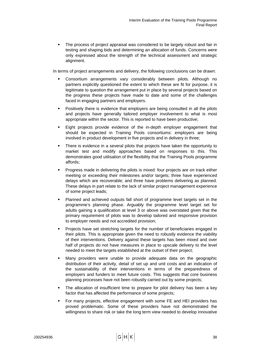The process of project appraisal was considered to be largely robust and fair in testing and shaping bids and determining an allocation of funds. Concerns were only expressed about the strength of the technical assessment and strategic alignment.

In terms of project arrangements and delivery, the following conclusions can be drawn:

- Consortium arrangements vary considerably between pilots. Although no partners explicitly questioned the extent to which these are fit for purpose, it is legitimate to question the arrangement put in place by several projects based on the progress these projects have made to date and some of the challenges faced in engaging partners and employers.
- Positively there is evidence that employers are being consulted in all the pilots and projects have generally tailored employer involvement to what is most appropriate within the sector. This is reported to have been productive;
- Eight projects provide evidence of the in-depth employer engagement that should be expected in Training Pools consortiums: employers are being involved in product development in five projects and in delivery in three;
- **There is evidence in a several pilots that projects have taken the opportunity to** market test and modify approaches based on responses to this. This demonstrates good utilisation of the flexibility that the Training Pools programme affords;
- Progress made in delivering the pilots is mixed: four projects are on track either meeting or exceeding their milestones and/or targets; three have experienced delays which are recoverable; and three have problems delivering as planned. These delays in part relate to the lack of similar project management experience of some project leads;
- Planned and achieved outputs fall short of programme level targets set in the programme's planning phase. Arguably the programme level target set for adults gaining a qualification at level 3 or above was overstated given that the primary requirement of pilots was to develop tailored and responsive provision to employer needs and not accredited provision;
- Projects have set stretching targets for the number of beneficiaries engaged in their pilots. This is appropriate given the need to robustly evidence the viability of their interventions. Delivery against these targets has been mixed and over half of projects do not have measures in place to upscale delivery to the level needed to meet the targets established at the outset of their project;
- Many providers were unable to provide adequate data on the geographic distribution of their activity, detail of set up and unit costs and an indication of the sustainability of their interventions in terms of the preparedness of employers and funders to meet future costs. This suggests that core business planning processes have not been robustly carried out by some projects;
- The allocation of insufficient time to prepare for pilot delivery has been a key factor that has affected the performance of some projects;
- For many projects, effective engagement with some FE and HEI providers has proved problematic. Some of these providers have not demonstrated the willingness to share risk or take the long term view needed to develop innovative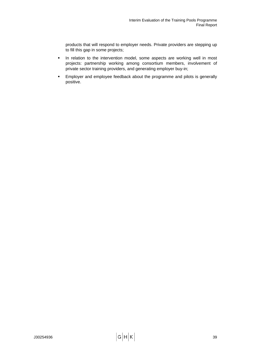products that will respond to employer needs. Private providers are stepping up to fill this gap in some projects;

- In relation to the intervention model, some aspects are working well in most projects: partnership working among consortium members, involvement of private sector training providers, and generating employer buy-in;
- **Employer and employee feedback about the programme and pilots is generally** positive.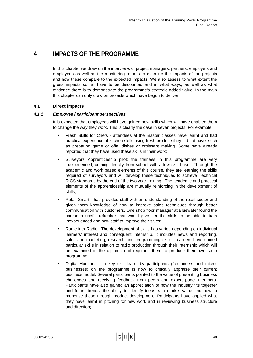# **4 IMPACTS OF THE PROGRAMME**

In this chapter we draw on the interviews of project managers, partners, employers and employees as well as the monitoring returns to examine the impacts of the projects and how these compare to the expected impacts. We also assess to what extent the gross impacts so far have to be discounted and in what ways, as well as what evidence there is to demonstrate the programme's strategic added value. In the main this chapter can only draw on projects which have begun to deliver.

# **4.1 Direct impacts**

# *4.1.1 Employee / participant perspectives*

It is expected that employees will have gained new skills which will have enabled them to change the way they work. This is clearly the case in seven projects. For example:

- Fresh Skills for Chefs attendees at the master classes have learnt and had practical experience of kitchen skills using fresh produce they did not have, such as preparing game or offal dishes or croissant making. Some have already reported that they have used these skills in their work;
- Surveyors Apprenticeship pilot: the trainees in this programme are very inexperienced, coming directly from school with a low skill base. Through the academic and work based elements of this course, they are learning the skills required of surveyors and will develop these techniques to achieve Technical RICS standards by the end of the two year training. The academic and practical elements of the apprenticeship are mutually reinforcing in the development of skills;
- Retail Smart has provided staff with an understanding of the retail sector and given them knowledge of how to improve sales techniques through better communication with customers. One shop floor manager at Bluewater found the course a useful refresher that would give her the skills to be able to train inexperienced and new staff to improve their sales;
- Route into Radio: The development of skills has varied depending on individual learners' interest and consequent internship. It includes news and reporting, sales and marketing, research and programming skills. Learners have gained particular skills in relation to radio production through their internship which will be examined in the diploma unit requiring them to produce their own radio programme;
- Digital Horizons a key skill learnt by participants (freelancers and microbusinesses) on the programme is how to critically appraise their current business model. Several participants pointed to the value of presenting business challenges and receiving feedback from peers and expert panel members. Participants have also gained an appreciation of how the industry fits together and future trends, the ability to identify ideas with market value and how to monetise these through product development. Participants have applied what they have learnt in pitching for new work and in reviewing business structure and direction;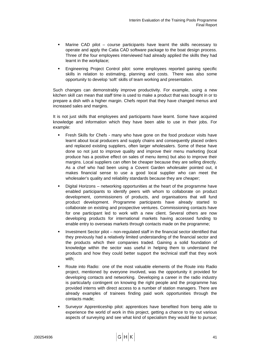- Marine CAD pilot course participants have learnt the skills necessary to operate and apply the Catia CAD software package to the boat design process. Three of the four employees interviewed had already applied the skills they had learnt in the workplace;
- Engineering Project Control pilot: some employees reported gaining specific skills in relation to estimating, planning and costs. There was also some opportunity to develop 'soft' skills of team working and presentation.

Such changes can demonstrably improve productivity. For example, using a new kitchen skill can mean that staff time is used to make a product that was bought in or to prepare a dish with a higher margin. Chefs report that they have changed menus and increased sales and margins.

It is not just skills that employees and participants have learnt. Some have acquired knowledge and information which they have been able to use in their jobs. For example:

- Fresh Skills for Chefs many who have gone on the food producer visits have learnt about local producers and supply chains and consequently placed orders and replaced existing suppliers, often larger wholesalers. Some of these have done so not just to improve quality and improve their menu marketing (local produce has a positive effect on sales of menu items) but also to improve their margins. Local suppliers can often be cheaper because they are selling directly. As a chef who had been using a Covent Garden wholesaler pointed out, it makes financial sense to use a good local supplier who can meet the wholesaler's quality and reliability standards because they are cheaper;
- Digital Horizons networking opportunities at the heart of the programme have enabled participants to identify peers with whom to collaborate on product development, commissioners of products, and organisations that will fund product development. Programme participants have already started to collaborate on existing and prospective ventures. Commissioning contacts have for one participant led to work with a new client. Several others are now developing products for international markets having accessed funding to enable entry to overseas markets through contacts made on the programme;
- Investment Sector pilot non-regulated staff in the financial sector identified that they previously had a relatively limited understanding of the financial sector and the products which their companies traded. Gaining a solid foundation of knowledge within the sector was useful in helping them to understand the products and how they could better support the technical staff that they work with;
- Route into Radio: one of the most valuable elements of the Route into Radio project, mentioned by everyone involved, was the opportunity it provided for developing contacts and networking. Developing a career in the radio industry is particularly contingent on knowing the right people and the programme has provided interns with direct access to a number of station managers. There are already examples of trainees finding paid work opportunities through the contacts made;
- Surveyor Apprenticeship pilot: apprentices have benefited from being able to experience the world of work in this project, getting a chance to try out various aspects of surveying and see what kind of specialism they would like to pursue;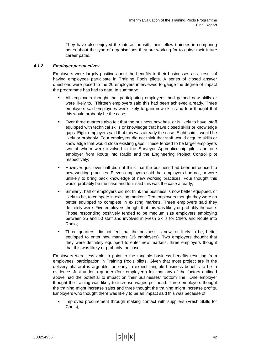They have also enjoyed the interaction with their fellow trainees in comparing notes about the type of organisations they are working for to guide their future career paths.

# *4.1.2 Employer perspectives*

Employers were largely positive about the benefits to their businesses as a result of having employees participate in Training Pools pilots. A series of closed answer questions were posed to the 20 employers interviewed to gauge the degree of impact the programme has had to date. In summary:

- All employers thought that participating employees had gained new skills or were likely to. Thirteen employers said this had been achieved already. Three employers said employees were likely to gain new skills and four thought that this would probably be the case;
- Over three quarters also felt that the business now has, or is likely to have, staff equipped with technical skills or knowledge that have closed skills or knowledge gaps. Eight employers said that this was already the case. Eight said it would be likely or probably. Four employers did not think that staff would acquire skills or knowledge that would close existing gaps. These tended to be larger employers two of whom were involved in the Surveyor Apprenticeship pilot, and one employer from Route into Radio and the Engineering Project Control pilot respectively;
- However, just over half did not think that the business had been introduced to new working practices. Eleven employers said that employers had not, or were unlikely to bring back knowledge of new working practices. Four thought this would probably be the case and four said this was the case already;
- Similarly, half of employers did not think the business is now better equipped, or likely to be, to compete in existing markets. Ten employers thought they were no better equipped to complete in existing markets. Three employers said they definitely were. Five employers thought that this was likely or probably the case. Those responding positively tended to be medium size employers employing between 25 and 50 staff and involved in Fresh Skills for Chefs and Route into Radio;
- Three quarters, did not feel that the business is now, or likely to be, better equipped to enter new markets (15 employers). Two employers thought that they were definitely equipped to enter new markets, three employers thought that this was likely or probably the case.

Employers were less able to point to the tangible business benefits resulting from employees' participation in Training Pools pilots. Given that most project are in the delivery phase it is arguable too early to expect tangible business benefits to be in evidence. Just under a quarter (four employers) felt that any of the factors outlined above had the potential to impact on their businesses' 'bottom line'. One employer thought the training was likely to increase wages per head. Three employers thought the training might increase sales and three thought the training might increase profits. Employers who thought there was likely to be an impact said this was because of:

 Improved procurement through making contact with suppliers (Fresh Skills for Chefs);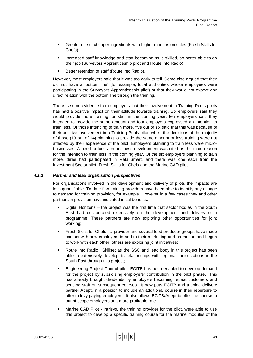- Greater use of cheaper ingredients with higher margins on sales (Fresh Skills for Chefs);
- **Increased staff knowledge and staff becoming multi-skilled, so better able to do** their job (Surveyors Apprenticeship pilot and Route into Radio);
- Better retention of staff (Route into Radio).

However, most employers said that it was too early to tell. Some also argued that they did not have a 'bottom line' (for example, local authorities whose employees were participating in the Surveyors Apprenticeship pilot) or that they would not expect any direct relation with the bottom line through the training.

There is some evidence from employers that their involvement in Training Pools pilots has had a positive impact on their attitude towards training. Six employers said they would provide more training for staff in the coming year, ten employers said they intended to provide the same amount and four employers expressed an intention to train less. Of those intending to train more, five out of six said that this was because of their positive involvement in a Training Pools pilot, whilst the decisions of the majority of those (13 out of 14) planning to provide the same amount or less training were not affected by their experience of the pilot. Employers planning to train less were microbusinesses. A need to focus on business development was cited as the main reason for the intention to train less in the coming year. Of the six employers planning to train more, three had participated in RetailSmart, and there was one each from the Investment Sector pilot, Fresh Skills for Chefs and the Marine CAD pilot.

## *4.1.3 Partner and lead organisation perspectives*

For organisations involved in the development and delivery of pilots the impacts are less quantifiable. To date few training providers have been able to identify any change to demand for training provision, for example. However in a few cases they and other partners in provision have indicated initial benefits:

- Digital Horizons the project was the first time that sector bodies in the South East had collaborated extensively on the development and delivery of a programme. These partners are now exploring other opportunities for joint working;
- Fresh Skills for Chefs a provider and several food producer groups have made contact with new employers to add to their marketing and promotion and begun to work with each other; others are exploring joint initiatives;
- Route into Radio: Skillset as the SSC and lead body in this project has been able to extensively develop its relationships with regional radio stations in the South East through this project;
- Engineering Project Control pilot: ECITB has been enabled to develop demand for the project by subsidising employers' contribution in the pilot phase. This has already brought dividends by employers becoming repeat customers and sending staff on subsequent courses. It now puts ECITB and training delivery partner Adept, in a position to include an additional course in their repertoire to offer to levy paying employers. It also allows ECITB/Adept to offer the course to out of scope employers at a more profitable rate.
- Marine CAD Pilot Intrisys, the training provider for the pilot, were able to use this project to develop a specific training course for the marine modules of the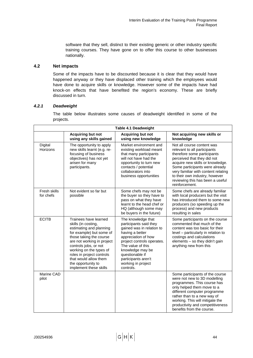software that they sell, distinct to their existing generic or other industry specific training courses. They have gone on to offer this course to other businesses nationally.

# **4.2 Net impacts**

Some of the impacts have to be discounted because it is clear that they would have happened anyway or they have displaced other training which the employees would have done to acquire skills or knowledge. However some of the impacts have had knock-on effects that have benefited the region's economy. These are briefly discussed in turn.

# *4.2.1 Deadweight*

The table below illustrates some causes of deadweight identified in some of the projects.

| Table 4.1 Deadweight      |                                                                                                                                                                                                                                                                                                                        |                                                                                                                                                                                                                                                                         |                                                                                                                                                                                                                                                                                                                               |  |  |  |
|---------------------------|------------------------------------------------------------------------------------------------------------------------------------------------------------------------------------------------------------------------------------------------------------------------------------------------------------------------|-------------------------------------------------------------------------------------------------------------------------------------------------------------------------------------------------------------------------------------------------------------------------|-------------------------------------------------------------------------------------------------------------------------------------------------------------------------------------------------------------------------------------------------------------------------------------------------------------------------------|--|--|--|
|                           | <b>Acquiring but not</b><br>using any skills gained                                                                                                                                                                                                                                                                    | <b>Acquiring but not</b><br>using new knowledge                                                                                                                                                                                                                         | Not acquiring new skills or<br>knowledge                                                                                                                                                                                                                                                                                      |  |  |  |
| Digital<br>Horizons       | The opportunity to apply<br>new skills learnt (e.g. re-<br>focusing of business<br>objectives) has not yet<br>arisen for many<br>participants.                                                                                                                                                                         | Market environment and<br>existing workload meant<br>that many participants<br>will not have had the<br>opportunity to turn new<br>contacts / potential<br>collaborators into<br>business opportunities                                                                 | Not all course content was<br>relevant to all participants<br>therefore some participants<br>perceived that they did not<br>acquire new skills or knowledge.<br>Some participants were already<br>very familiar with content relating<br>to their own industry, however<br>reviewing this has been a useful<br>reinforcement. |  |  |  |
| Fresh skills<br>for chefs | Not evident so far but<br>possible                                                                                                                                                                                                                                                                                     | Some chefs may not be<br>the buyer so they have to<br>pass on what they have<br>learnt to the head chef or<br>HQ (although some may<br>be buyers in the future)                                                                                                         | Some chefs are already familiar<br>with local producers but the visit<br>has introduced them to some new<br>producers (so speeding up the<br>process) and new products<br>resulting in sales                                                                                                                                  |  |  |  |
| <b>ECITB</b>              | Trainees have learned<br>skills (in costing,<br>estimating and planning<br>for example) but some of<br>those taking the course<br>are not working in project<br>controls jobs, or not<br>working on the types of<br>roles in project controls<br>that would allow them<br>the opportunity to<br>implement these skills | The knowledge that<br>participants said they<br>gained was in relation to<br>having a better<br>appreciation of how<br>project controls operates.<br>The value of this<br>knowledge may be<br>questionable if<br>participants aren't<br>working in project<br>controls. | Some participants on the course<br>commented that much of the<br>content was too basic for their<br>level – particularly in relation to<br>costings and calculations<br>elements - so they didn't gain<br>anything new from this                                                                                              |  |  |  |
| Marine CAD<br>pilot       |                                                                                                                                                                                                                                                                                                                        |                                                                                                                                                                                                                                                                         | Some participants of the course<br>were not new to 3D modelling<br>programmes. This course has<br>only helped them move to a<br>different computer programme<br>rather than to a new way of<br>working. This will mitigate the<br>productivity and competitiveness<br>benefits from the course.                               |  |  |  |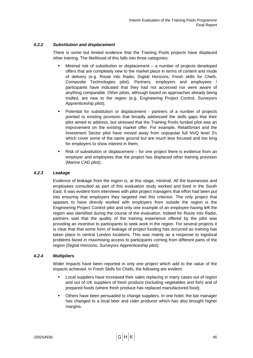# *4.2.2 Substitution and displacement*

There is some but limited evidence that the Training Pools projects have displaced other training. The likelihood of this falls into three categories:

- Minimal risk of substitution or displacement a number of projects developed offers that are completely new to the market place in terms of content and mode of delivery (e.g. Route into Radio, Digital Horizons, Fresh skills for Chefs, Composite Technologies pilot). Partners, employers and employees / participants have indicated that they had not accessed nor were aware of anything comparable. Other pilots, although based on approaches already being trialled, are new to the region (e.g. Engineering Project Control, Surveyors Apprenticeship pilot);
- Potential for substitution or displacement partners of a number of projects pointed to existing provision that broadly addressed the skills gaps that their pilot aimed to address, but stressed that the Training Pools funded pilot was an improvement on the existing market offer. For example, RetailSmart and the Investment Sector pilot have moved away from unpopular full NVQ level 3's which cover some of the same ground but are much less focused and too long for employers to show interest in them;
- Risk of substitution or displacement for one project there is evidence from an employer and employees that the project has displaced other training provision (Marine CAD pilot).

# *4.2.3 Leakage*

Evidence of leakage from the region is, at this stage, minimal. All the businesses and employees consulted as part of this evaluation study worked and lived in the South East. It was evident form interviews with pilot project managers that effort had been put into ensuring that employers they targeted met this criterion. The only project that appears to have directly worked with employers from outside the region is the Engineering Project Control pilot and only one example of an employee having left the region was identified during the course of the evaluation. Indeed for Route into Radio, partners said that the quality of the training experience offered by the pilot was providing an incentive to participants to seek work in the region. For several projects it is clear that that some form of leakage of project funding has occurred as training has taken place in central London locations. This was mainly as a response to logistical problems faced in maximising access to participants coming from different parts of the region (Digital Horizons, Surveyors Apprenticeship pilot).

## *4.2.4 Multipliers*

Wider impacts have been reported in only one project which add to the value of the impacts achieved. In Fresh Skills for Chefs, the following are evident:

- Local suppliers have increased their sales replacing in many cases out of region and out of UK suppliers of fresh produce (including vegetables and fish) and of prepared foods (where fresh produce has replaced manufactured food);
- Others have been persuaded to change suppliers. In one hotel, the bar manager has changed to a local beer and cider producer which has also brought higher margins.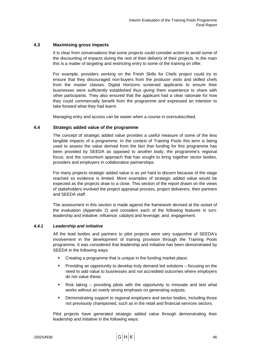# **4.3 Maximising gross impacts**

It is clear from conversations that some projects could consider action to avoid some of the discounting of impacts during the rest of their delivery of their projects. In the main this is a matter of targeting and restricting entry to some of the training on offer.

For example, providers working on the Fresh Skills for Chefs project could try to ensure that they discouraged non-buyers from the producer visits and skilled chefs from the master classes. Digital Horizons screened applicants to ensure their businesses were sufficiently established thus giving them experience to share with other participants. They also ensured that the applicant had a clear rationale for how they could commercially benefit from the programme and expressed an intention to take forward what they had learnt.

Managing entry and access can be easier when a course in oversubscribed.

## **4.4 Strategic added value of the programme**

The concept of strategic added value provides a useful measure of some of the less tangible impacts of a programme. In the context of Training Pools this term is being used to assess the value derived from the fact that funding for this programme has been provided by SEEDA as opposed to another body, the programme's regional focus, and the consortium approach that has sought to bring together sector bodies, providers and employers in collaborative partnerships.

For many projects strategic added value is as yet hard to discern because of the stage reached so evidence is limited. More examples of strategic added value would be expected as the projects draw to a close. This section of the report drawn on the views of stakeholders involved the project appraisal process, project deliverers, their partners and SEEDA staff.

The assessment in this section is made against the framework devised at the outset of the evaluation (Appendix 2) and considers each of the following features in turn: leadership and initiative; influence; catalyst and leverage; and, engagement.

## *4.4.1 Leadership and initiative*

All the lead bodies and partners to pilot projects were very supportive of SEEDA's involvement in the development of training provision through the Training Pools programme. It was considered that leadership and initiative has been demonstrated by SEEDA in the following ways:

- Creating a programme that is unique in the funding market place;
- Providing an opportunity to develop truly demand led solutions focusing on the need to add value to businesses and not accredited outcomes where employers do not value these;
- Risk taking providing pilots with the opportunity to innovate and test what works without an overly strong emphasis on generating outputs;
- Demonstrating support to regional employers and sector bodies, including those not previously championed, such as in the retail and financial services sectors.

Pilot projects have generated strategic added value through demonstrating their leadership and initiative in the following ways: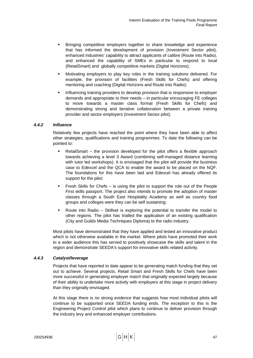- Bringing competitive employers together to share knowledge and experience that has informed the development of provision (Investment Sector pilot), enhanced industries' capability to attract applicants of calibre (Route into Radio), and enhanced the capability of SMEs in particular to respond to local (RetailSmart) and globally competitive markets (Digital Horizons);
- Motivating employers to play key roles in the training solutions delivered. For example, the provision of facilities (Fresh Skills for Chefs) and offering mentoring and coaching (Digital Horizons and Route into Radio);
- Influencing training providers to develop provision that is responsive to employer demands and appropriate to their needs – in particular encouraging FE colleges to move towards a master class format (Fresh Skills for Chefs) and demonstrating strong and iterative collaboration between a private training provider and sector employers (Investment Sector pilot).

## *4.4.2 Influence*

Relatively few projects have reached the point where they have been able to affect other strategies, qualifications and training programmes. To date the following can be pointed to:

- RetailSmart the provision developed for the pilot offers a flexible approach towards achieving a level 3 Award (combining self-managed distance learning with tutor led workshops). It is envisaged that the pilot will provide the business case to Edexcel and the QCA to enable the award to be placed on the NQF. The foundations for this have been laid and Edexcel has already offered its support for the pilot;
- Fresh Skills for Chefs is using the pilot to support the role out of the People First skills passport. The project also intends to promote the adoption of master classes through a South East Hospitality Academy as well as country food groups and colleges were they can be self sustaining;
- Route into Radio Skillset is exploring the potential to transfer the model to other regions. The pilot has trialled the application of an existing qualification (City and Guilds Media Techniques Diploma) to the radio industry.

Most pilots have demonstrated that they have applied and tested an innovative product which is not otherwise available in the market. Where pilots have promoted their work to a wider audience this has served to positively showcase the skills and talent in the region and demonstrate SEEDA's support for innovative skills related activity.

# *4.4.3 Catalyst/leverage*

Projects that have reported to date appear to be generating match funding that they set out to achieve. Several projects, Retail Smart and Fresh Skills for Chefs have been more successful in generating employer match that originally expected largely because of their ability to undertake more activity with employers at this stage in project delivery than they originally envisaged.

At this stage there is no strong evidence that suggests how most individual pilots will continue to be supported once SEEDA funding ends. The exception to this is the Engineering Project Control pilot which plans to continue to deliver provision through the industry levy and enhanced employer contributions.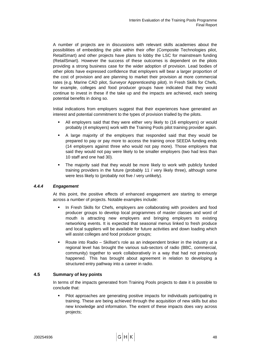A number of projects are in discussions with relevant skills academies about the possibilities of embedding the pilot within their offer (Composite Technologies pilot, RetailSmart) and other projects have plans to lobby the LSC for mainstream funding (RetailSmart). However the success of these outcomes is dependent on the pilots providing a strong business case for the wider adoption of provision. Lead bodies of other pilots have expressed confidence that employers will bear a larger proportion of the cost of provision and are planning to market their provision at more commercial rates (e.g. Marine CAD pilot, Surveyor Apprenticeship pilot). In Fresh Skills for Chefs, for example, colleges and food producer groups have indicated that they would continue to invest in these if the take up and the impacts are achieved, each seeing potential benefits in doing so.

Initial indications from employers suggest that their experiences have generated an interest and potential commitment to the types of provision trialled by the pilots.

- All employers said that they were either very likely to (16 employers) or would probably (4 employers) work with the Training Pools pilot training provider again.
- A large majority of the employers that responded said that they would be prepared to pay or pay more to access the training once SEEDA funding ends (14 employers against three who would not pay more). Those employers that said they would not pay were likely to be smaller employers (two had less than 10 staff and one had 30).
- The majority said that they would be more likely to work with publicly funded training providers in the future (probably 11 / very likely three), although some were less likely to (probably not five / very unlikely).

## *4.4.4 Engagement*

At this point, the positive effects of enhanced engagement are starting to emerge across a number of projects. Notable examples include:

- In Fresh Skills for Chefs, employers are collaborating with providers and food producer groups to develop local programmes of master classes and word of mouth is attracting new employers and bringing employers to existing networking events. It is expected that seasonal menus linked to fresh produce and local suppliers will be available for future activities and down loading which will assist colleges and food producer groups;
- Route into Radio Skillset's role as an independent broker in the industry at a regional level has brought the various sub-sectors of radio (BBC, commercial, community) together to work collaboratively in a way that had not previously happened. This has brought about agreement in relation to developing a structured entry pathway into a career in radio.

## **4.5 Summary of key points**

In terms of the impacts generated from Training Pools projects to date it is possible to conclude that:

 Pilot approaches are generating positive impacts for individuals participating in training. These are being achieved through the acquisition of new skills but also new knowledge and information. The extent of these impacts does vary across projects;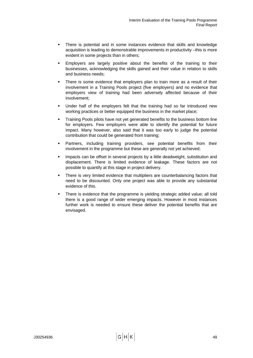- There is potential and in some instances evidence that skills and knowledge acquisition is leading to demonstrable improvements in productivity –this is more evident in some projects than in others;
- Employers are largely positive about the benefits of the training to their businesses, acknowledging the skills gained and their value in relation to skills and business needs;
- There is some evidence that employers plan to train more as a result of their involvement in a Training Pools project (five employers) and no evidence that employers view of training had been adversely affected because of their involvement;
- Under half of the employers felt that the training had so far introduced new working practices or better equipped the business in the market place:
- Training Pools pilots have not yet generated benefits to the business bottom line for employers. Few employers were able to identify the potential for future impact. Many however, also said that it was too early to judge the potential contribution that could be generated from training;
- Partners, including training providers, see potential benefits from their involvement in the programme but these are generally not yet achieved;
- Impacts can be offset in several projects by a little deadweight, substitution and displacement. There is limited evidence of leakage. These factors are not possible to quantify at this stage in project delivery.
- There is very limited evidence that multipliers are counterbalancing factors that need to be discounted. Only one project was able to provide any substantial evidence of this.
- There is evidence that the programme is yielding strategic added value; all told there is a good range of wider emerging impacts. However in most instances further work is needed to ensure these deliver the potential benefits that are envisaged.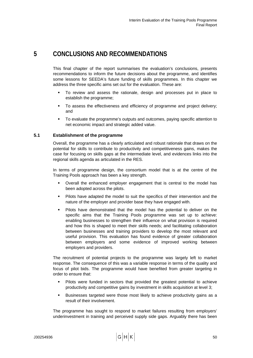# **5 CONCLUSIONS AND RECOMMENDATIONS**

This final chapter of the report summarises the evaluation's conclusions, presents recommendations to inform the future decisions about the programme, and identifies some lessons for SEEDA's future funding of skills programmes. In this chapter we address the three specific aims set out for the evaluation. These are:

- To review and assess the rationale, design and processes put in place to establish the programme;
- To assess the effectiveness and efficiency of programme and project delivery; and
- To evaluate the programme's outputs and outcomes, paying specific attention to net economic impact and strategic added value.

# **5.1 Establishment of the programme**

Overall, the programme has a clearly articulated and robust rationale that draws on the potential for skills to contribute to productivity and competitiveness gains, makes the case for focusing on skills gaps at the intermediate level, and evidences links into the regional skills agenda as articulated in the RES.

In terms of programme design, the consortium model that is at the centre of the Training Pools approach has been a key strength.

- Overall the enhanced employer engagement that is central to the model has been adopted across the pilots.
- Pilots have adapted the model to suit the specifics of their intervention and the nature of the employer and provider base they have engaged with.
- Pilots have demonstrated that the model has the potential to deliver on the specific aims that the Training Pools programme was set up to achieve: enabling businesses to strengthen their influence on what provision is required and how this is shaped to meet their skills needs; and facilitating collaboration between businesses and training providers to develop the most relevant and useful provision. This evaluation has found evidence of greater collaboration between employers and some evidence of improved working between employers and providers.

The recruitment of potential projects to the programme was largely left to market response. The consequence of this was a variable response in terms of the quality and focus of pilot bids. The programme would have benefited from greater targeting in order to ensure that:

- Pilots were funded in sectors that provided the greatest potential to achieve productivity and competitive gains by investment in skills acquisition at level 3;
- Businesses targeted were those most likely to achieve productivity gains as a result of their involvement.

The programme has sought to respond to market failures resulting from employers' underinvestment in training and perceived supply side gaps. Arguably there has been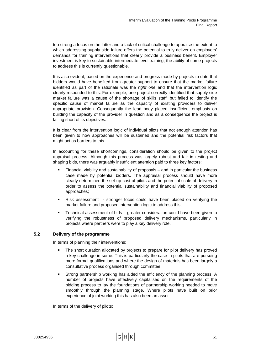too strong a focus on the latter and a lack of critical challenge to appraise the extent to which addressing supply side failure offers the potential to truly deliver on employers' demands for training interventions that clearly provide a business benefit. Employer investment is key to sustainable intermediate level training; the ability of some projects to address this is currently questionable.

It is also evident, based on the experience and progress made by projects to date that bidders would have benefited from greater support to ensure that the market failure identified as part of the rationale was the *right one* and that the intervention logic clearly responded to this. For example, one project correctly identified that supply side market failure was a cause of the shortage of skills staff, but failed to identify the specific cause of market failure as the capacity of existing providers to deliver appropriate provision. Consequently the lead body placed insufficient emphasis on building the capacity of the provider in question and as a consequence the project is falling short of its objectives.

It is clear from the intervention logic of individual pilots that not enough attention has been given to how approaches will be sustained and the potential risk factors that might act as barriers to this.

In accounting for these shortcomings, consideration should be given to the project appraisal process. Although this process was largely robust and fair in testing and shaping bids, there was arguably insufficient attention paid to three key factors:

- Financial viability and sustainability of proposals and in particular the business case made by potential bidders. The appraisal process should have more clearly determined the set up cost of pilots and the potential scale of delivery in order to assess the potential sustainability and financial viability of proposed approaches;
- Risk assessment stronger focus could have been placed on verifying the market failure and proposed intervention logic to address this;
- Technical assessment of bids greater consideration could have been given to verifying the robustness of proposed delivery mechanisms, particularly in projects where partners were to play a key delivery role.

# **5.2 Delivery of the programme**

In terms of planning their interventions:

- The short duration allocated by projects to prepare for pilot delivery has proved a key challenge in some. This is particularly the case in pilots that are pursuing more formal qualifications and where the design of materials has been largely a consultative process organised through committee.
- Strong partnership working has aided the efficiency of the planning process. A number of projects have effectively capitalised on the requirements of the bidding process to lay the foundations of partnership working needed to move smoothly through the planning stage. Where pilots have built on prior experience of joint working this has also been an asset.

In terms of the delivery of pilots: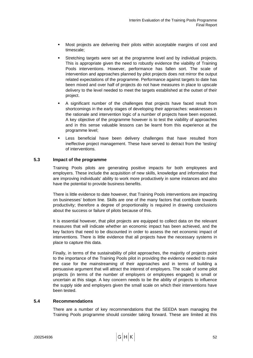- Most projects are delivering their pilots within acceptable margins of cost and timescale;
- Stretching targets were set at the programme level and by individual projects. This is appropriate given the need to robustly evidence the viability of Training Pools interventions. However, performance has fallen sort. The scale of intervention and approaches planned by pilot projects does not mirror the output related expectations of the programme. Performance against targets to date has been mixed and over half of projects do not have measures in place to upscale delivery to the level needed to meet the targets established at the outset of their project.
- A significant number of the challenges that projects have faced result from shortcomings in the early stages of developing their approaches: weaknesses in the rationale and intervention logic of a number of projects have been exposed. A key objective of the programme however is to test the viability of approaches and in this sense valuable lessons can be learnt from this experience at the programme level;
- Less beneficial have been delivery challenges that have resulted from ineffective project management. These have served to detract from the 'testing' of interventions.

# **5.3 Impact of the programme**

Training Pools pilots are generating positive impacts for both employees and employers. These include the acquisition of new skills, knowledge and information that are improving individuals' ability to work more productively in some instances and also have the potential to provide business benefits.

There is little evidence to date however, that Training Pools interventions are impacting on businesses' bottom line. Skills are one of the many factors that contribute towards productivity; therefore a degree of proportionality is required in drawing conclusions about the success or failure of pilots because of this.

It is essential however, that pilot projects are equipped to collect data on the relevant measures that will indicate whether an economic impact has been achieved, and the key factors that need to be discounted in order to assess the net economic impact of interventions. There is little evidence that all projects have the necessary systems in place to capture this data.

Finally, in terms of the sustainability of pilot approaches, the majority of projects point to the importance of the Training Pools pilot in providing the evidence needed to make the case for the mainstreaming of their approaches and in terms of building a persuasive argument that will attract the interest of employers. The scale of some pilot projects (in terms of the number of employers or employees engaged) is small or uncertain at this stage. A key concern needs to be the ability of projects to influence the supply side and employers given the small scale on which their interventions have been tested.

## **5.4 Recommendations**

There are a number of key recommendations that the SEEDA team managing the Training Pools programme should consider taking forward. These are limited at this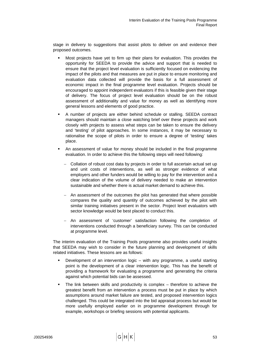stage in delivery to suggestions that assist pilots to deliver on and evidence their proposed outcomes.

- Most projects have yet to firm up their plans for evaluation. This provides the opportunity for SEEDA to provide the advice and support that is needed to ensure that the project level evaluation is sufficiently focused on evidencing the impact of the pilots and that measures are put in place to ensure monitoring and evaluation data collected will provide the basis for a full assessment of economic impact in the final programme level evaluation. Projects should be encouraged to appoint independent evaluators if this is feasible given their stage of delivery. The focus of project level evaluation should be on the robust assessment of additionality and value for money as well as identifying more general lessons and elements of good practice.
- A number of projects are either behind schedule or stalling. SEEDA contract managers should maintain a close watching brief over these projects and work closely with projects to assess what steps can be taken to ensure the delivery and 'testing' of pilot approaches. In some instances, it may be necessary to rationalise the scope of pilots in order to ensure a degree of 'testing' takes place.
- An assessment of value for money should be included in the final programme evaluation. In order to achieve this the following steps will need following:
	- − Collation of robust cost data by projects in order to full ascertain actual set up and unit costs of interventions, as well as stronger evidence of what employers and other funders would be willing to pay for the intervention and a clear indication of the volume of delivery needed to make an intervention sustainable and whether there is actual market demand to achieve this.
	- An assessment of the outcomes the pilot has generated that where possible compares the quality and quantity of outcomes achieved by the pilot with similar training initiatives present in the sector. Project level evaluators with sector knowledge would be best placed to conduct this.
	- − An assessment of 'customer' satisfaction following the completion of interventions conducted through a beneficiary survey. This can be conducted at programme level.

The interim evaluation of the Training Pools programme also provides useful insights that SEEDA may wish to consider in the future planning and development of skills related initiatives. These lessons are as follows:

- Development of an intervention logic with any programme, a useful starting point is the development of a clear intervention logic. This has the benefit of providing a framework for evaluating a programme and generating the criteria against which potential bids can be assessed.
- The link between skills and productivity is complex therefore to achieve the greatest benefit from an intervention a process must be put in place by which assumptions around market failure are tested, and proposed intervention logics challenged. This could be integrated into the bid appraisal process but would be more usefully employed earlier on in programme development through for example, workshops or briefing sessions with potential applicants.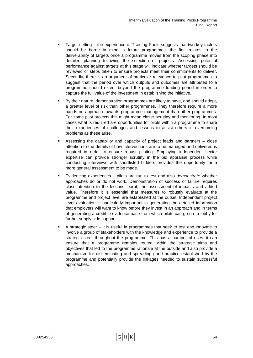- Target setting the experience of Training Pools suggests that two key factors should be borne in mind in future programmes: the first relates to the deliverability of targets once a programme moves from the scoping phase into detailed planning following the selection of projects. Assessing potential performance against targets at this stage will indicate whether targets should be reviewed or steps taken to ensure projects meet their commitments to deliver. Secondly, there is an argument of particular relevance to pilot programmes to suggest that the period over which outputs and outcomes are attributed to a programme should extent beyond the programme funding period in order to capture the full value of the investment in establishing the initiative.
- By their nature, demonstration programmes are likely to have, and should adopt, a greater level of risk than other programmes. They therefore require a more hands on approach towards programme management than other programmes. For some pilot projects this might mean closer scrutiny and monitoring. In most cases what is required are opportunities for pilots within a programme to share their experiences of challenges and lessons to assist others in overcoming problems as these arise.
- Assessing the capability and capacity of project leads and partners close attention to the details of how interventions are to be managed and delivered is required in order to ensure robust piloting. Employing independent sector expertise can provide stronger scrutiny in the bid appraisal process while conducting interviews with shortlisted bidders provides the opportunity for a more general assessment to be made.
- Evidencing experiences pilots are run to test and also *demonstrate* whether approaches do or do not work. Demonstration of success or failure requires close attention to the lessons learnt, the assessment of impacts and added value. Therefore it is essential that measures to robustly evaluate at the programme and project level are established at the outset. Independent project level evaluation is particularly important in generating the detailed information that employers will want to know before they invest in an approach and in terms of generating a credible evidence base from which pilots can go on to lobby for further supply side support.
- A strategic steer it is useful in programmes that seek to test and innovate to involve a group of stakeholders with the knowledge and experience to provide a strategic steer throughout the programme. This has a number of uses: it can ensure that a programme remains routed within the strategic aims and objectives that led to the programme rationale at the outside and also provide a mechanism for disseminating and spreading good practice established by the programme and potentially provide the linkages needed to sustain successful approaches.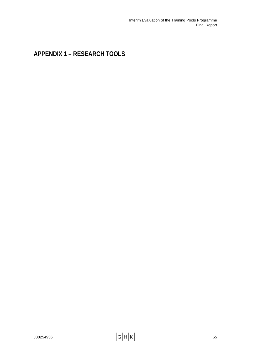# **APPENDIX 1 – RESEARCH TOOLS**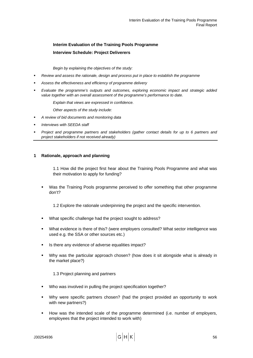# **Interim Evaluation of the Training Pools Programme Interview Schedule: Project Deliverers**

*Begin by explaining the objectives of the study:* 

- *Review and assess the rationale, design and process put in place to establish the programme*
- *Assess the effectiveness and efficiency of programme delivery*
- *Evaluate the programme's outputs and outcomes, exploring economic impact and strategic added value together with an overall assessment of the programme's performance to date.*

*Explain that views are expressed in confidence.* 

*Other aspects of the study include:* 

- *A review of bid documents and monitoring data*
- *Interviews with SEEDA staff*
- *Project and programme partners and stakeholders (gather contact details for up to 6 partners and project stakeholders if not received already)*

#### **1 Rationale, approach and planning**

1.1 How did the project first hear about the Training Pools Programme and what was their motivation to apply for funding?

 Was the Training Pools programme perceived to offer something that other programme don't?

1.2 Explore the rationale underpinning the project and the specific intervention.

- What specific challenge had the project sought to address?
- What evidence is there of this? (were employers consulted? What sector intelligence was used e.g. the SSA or other sources etc.)
- Is there any evidence of adverse equalities impact?
- Why was the particular approach chosen? (how does it sit alongside what is already in the market place?)

1.3 Project planning and partners

- Who was involved in pulling the project specification together?
- Why were specific partners chosen? (had the project provided an opportunity to work with new partners?)
- How was the intended scale of the programme determined (i.e. number of employers, employees that the project intended to work with)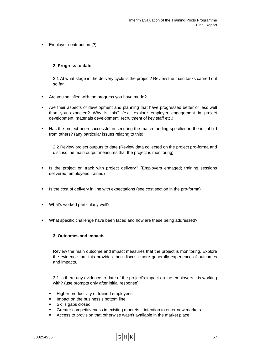**Employer contribution (?)** 

#### **2. Progress to date**

2.1 At what stage in the delivery cycle is the project? Review the main tasks carried out so far.

- **Are you satisfied with the progress you have made?**
- Are their aspects of development and planning that have progressed better or less well than you expected? Why is this? (e.g. explore employer engagement in project development, materials development, recruitment of key staff etc.)
- Has the project been successful in securing the match funding specified in the initial bid from others? (any particular issues relating to this)

2.2 Review project outputs to date (Review data collected on the project pro-forma and discuss the main output measures that the project is monitoring)

- **In Step 2** is the project on track with project delivery? (Employers engaged; training sessions delivered; employees trained)
- Is the cost of delivery in line with expectations (see cost section in the pro-forma)
- What's worked particularly well?
- What specific challenge have been faced and how are these being addressed?

#### **3. Outcomes and impacts**

Review the main outcome and impact measures that the project is monitoring. Explore the evidence that this provides then discuss more generally experience of outcomes and impacts.

3.1 Is there any evidence to date of the project's impact on the employers it is working with? (use prompts only after initial response)

- Higher productivity of trained employees
- Impact on the business's bottom line
- Skills gaps closed
- Greater competitiveness in existing markets intention to enter new markets
- Access to provision that otherwise wasn't available in the market place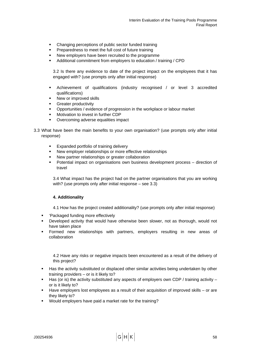- Changing perceptions of public sector funded training
- Preparedness to meet the full cost of future training
- New employers have been recruited to the programme
- Additional commitment from employers to education / training / CPD

3.2 Is there any evidence to date of the project impact on the employees that it has engaged with? (use prompts only after initial response)

- Achievement of qualifications (industry recognised / or level 3 accredited qualifications)
- New or improved skills
- Greater productivity
- Opportunities / evidence of progression in the workplace or labour market
- Motivation to invest in further CDP
- **Overcoming adverse equalities impact**
- 3.3 What have been the main benefits to your own organisation? (use prompts only after initial response)
	- **Expanded portfolio of training delivery**
	- New employer relationships or more effective relationships
	- New partner relationships or greater collaboration
	- Potential impact on organisations own business development process direction of travel

3.4 What impact has the project had on the partner organisations that you are working with? (use prompts only after initial response – see 3.3)

# **4. Additionality**

4.1 How has the project created additionality? (use prompts only after initial response)

- 'Packaged funding more effectively
- **Developed activity that would have otherwise been slower, not as thorough, would not** have taken place
- Formed new relationships with partners, employers resulting in new areas of collaboration

4.2 Have any risks or negative impacts been encountered as a result of the delivery of this project?

- Has the activity substituted or displaced other similar activities being undertaken by other training providers – or is it likely to?
- $\blacksquare$  Has (or is) the activity substituted any aspects of employers own CDP / training activity or is it likely to?
- Have employers lost employees as a result of their acquisition of improved skills or are they likely to?
- Would employers have paid a market rate for the training?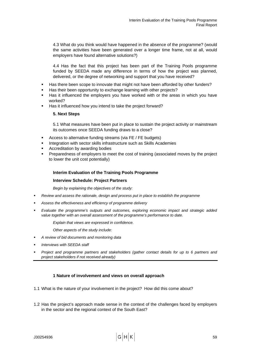4.3 What do you think would have happened in the absence of the programme? (would the same activities have been generated over a longer time frame, not at all, would employers have found alternative solutions?)

4.4 Has the fact that this project has been part of the Training Pools programme funded by SEEDA made any difference in terms of how the project was planned, delivered, or the degree of networking and support that you have received?

- Has there been scope to innovate that might not have been afforded by other funders?
- Has their been opportunity to exchange learning with other projects?
- Has it influenced the employers you have worked with or the areas in which you have worked?
- Has it influenced how you intend to take the project forward?

#### **5. Next Steps**

5.1 What measures have been put in place to sustain the project activity or mainstream its outcomes once SEEDA funding draws to a close?

- Access to alternative funding streams (via FE / FE budgets)
- Integration with sector skills infrastructure such as Skills Academies
- Accreditation by awarding bodies
- Preparedness of employers to meet the cost of training (associated moves by the project to lower the unit cost potentially)

#### **Interim Evaluation of the Training Pools Programme**

#### **Interview Schedule: Project Partners**

*Begin by explaining the objectives of the study:* 

- *Review and assess the rationale, design and process put in place to establish the programme*
- *Assess the effectiveness and efficiency of programme delivery*
- *Evaluate the programme's outputs and outcomes, exploring economic impact and strategic added value together with an overall assessment of the programme's performance to date.*

*Explain that views are expressed in confidence.* 

*Other aspects of the study include:* 

- *A review of bid documents and monitoring data*
- *Interviews with SEEDA staff*
- *Project and programme partners and stakeholders (gather contact details for up to 6 partners and project stakeholders if not received already)*

## **1 Nature of involvement and views on overall approach**

- 1.1 What is the nature of your involvement in the project? How did this come about?
- 1.2 Has the project's approach made sense in the context of the challenges faced by employers in the sector and the regional context of the South East?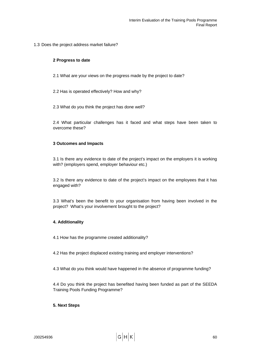1.3 Does the project address market failure?

#### **2 Progress to date**

- 2.1 What are your views on the progress made by the project to date?
- 2.2 Has is operated effectively? How and why?
- 2.3 What do you think the project has done well?

2.4 What particular challenges has it faced and what steps have been taken to overcome these?

#### **3 Outcomes and Impacts**

3.1 Is there any evidence to date of the project's impact on the employers it is working with? (employers spend, employer behaviour etc.)

3.2 Is there any evidence to date of the project's impact on the employees that it has engaged with?

3.3 What's been the benefit to your organisation from having been involved in the project? What's your involvement brought to the project?

## **4. Additionality**

- 4.1 How has the programme created additionality?
- 4.2 Has the project displaced existing training and employer interventions?
- 4.3 What do you think would have happened in the absence of programme funding?

4.4 Do you think the project has benefited having been funded as part of the SEEDA Training Pools Funding Programme?

#### **5. Next Steps**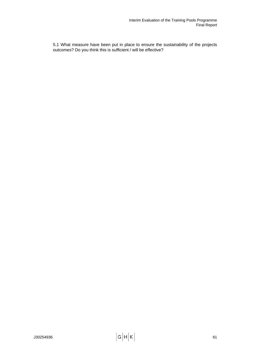5.1 What measure have been put in place to ensure the sustainability of the projects outcomes? Do you think this is sufficient / will be effective?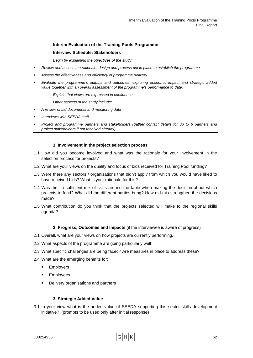#### **Interim Evaluation of the Training Pools Programme**

#### **Interview Schedule: Stakeholders**

*Begin by explaining the objectives of the study:* 

- *Review and assess the rationale, design and process put in place to establish the programme*
- *Assess the effectiveness and efficiency of programme delivery*
- *Evaluate the programme's outputs and outcomes, exploring economic impact and strategic added value together with an overall assessment of the programme's performance to date.*

*Explain that views are expressed in confidence.* 

*Other aspects of the study include:* 

- *A review of bid documents and monitoring data*
- *Interviews with SEEDA staff*
- *Project and programme partners and stakeholders (gather contact details for up to 6 partners and project stakeholders if not received already)*

#### **1. Involvement in the project selection process**

- 1.1 How did you become involved and what was the rationale for your involvement in the selection process for projects?
- 1.2 What are your views on the quality and focus of bids received for Training Pool funding?
- 1.3 Were there any sectors / organisations that didn't apply from which you would have liked to have received bids? What is your rationale for this?
- 1.4 Was their a sufficient mix of skills around the table when making the decision about which projects to fund? What did the different parties bring? How did this strengthen the decisions made?
- 1.5 What contribution do you think that the projects selected will make to the regional skills agenda?

#### **2. Progress, Outcomes and Impacts** (if the interviewee is aware of progress)

- 2.1 Overall, what are your views on how projects are currently performing.
- 2.2 What aspects of the programme are going particularly well
- 2.3 What specific challenges are being faced? Are measures in place to address these?
- 2.4 What are the emerging benefits for:
	- **Employers**
	- **Employees**
	- **•** Delivery organisations and partners

#### **3. Strategic Added Value**

3.1 In your view what is the added value of SEEDA supporting this sector skills development initiative? (prompts to be used only after initial response)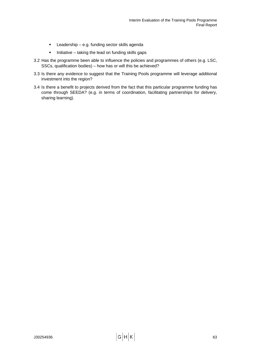- **EXEC** Leadership e.g. funding sector skills agenda
- $\blacksquare$  Initiative taking the lead on funding skills gaps
- 3.2 Has the programme been able to influence the policies and programmes of others (e.g. LSC, SSCs, qualification bodies) – how has or will this be achieved?
- 3.3 Is there any evidence to suggest that the Training Pools programme will leverage additional investment into the region?
- 3.4 Is there a benefit to projects derived from the fact that this particular programme funding has come through SEEDA? (e.g. in terms of coordination, facilitating partnerships for delivery, sharing learning).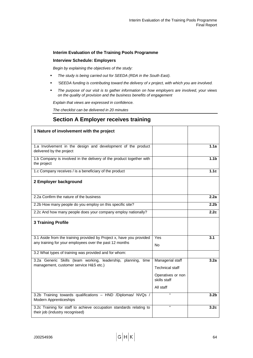### **Interim Evaluation of the Training Pools Programme**

#### **Interview Schedule: Employers**

*Begin by explaining the objectives of the study:* 

- *The study is being carried out for SEEDA (RDA in the South East).*
- *'SEEDA funding is contributing toward the delivery of x project, with which you are involved.*
- *The purpose of our visit is to gather information on how employers are involved, your views on the quality of provision and the business benefits of engagement*

*Explain that views are expressed in confidence.* 

*The checklist can be delivered in 20 minutes*

### **Section A Employer receives training**

| 1 Nature of involvement with the project                                                               |                                   |                  |
|--------------------------------------------------------------------------------------------------------|-----------------------------------|------------------|
|                                                                                                        |                                   |                  |
| 1.a Involvement in the design and development of the product<br>delivered by the project               |                                   | 1.1a             |
| 1.b Company is involved in the delivery of the product together with<br>the project                    |                                   | 1.1 <sub>b</sub> |
| 1.c Company receives / is a beneficiary of the product                                                 |                                   | 1.1c             |
| 2 Employer background                                                                                  |                                   |                  |
| 2.2a Confirm the nature of the business                                                                |                                   | 2.2a             |
|                                                                                                        |                                   |                  |
| 2.2b How many people do you employ on this specific site?                                              |                                   | 2.2 <sub>b</sub> |
| 2.2c And how many people does your company employ nationally?                                          |                                   | 2.2c             |
| <b>3 Training Profile</b>                                                                              |                                   |                  |
|                                                                                                        |                                   |                  |
| 3.1 Aside from the training provided by Project x, have you provided                                   | Yes                               | 3.1              |
| any training for your employees over the past 12 months                                                | No                                |                  |
| 3.2 What types of training was provided and for whom:                                                  |                                   |                  |
| 3.2a Generic Skills (team working, leadership, planning, time                                          | Managerial staff                  | 3.2a             |
| management, customer service H&S etc.)                                                                 | Technical staff                   |                  |
|                                                                                                        | Operatives or non<br>skills staff |                  |
|                                                                                                        | All staff                         |                  |
| 3.2b Training towards qualifications - HND /Diplomas/ NVQs /<br><b>Modern Apprenticeships</b>          | Ġ.                                | 3.2 <sub>b</sub> |
| 3.2c Training for staff to achieve occupation standards relating to<br>their job (industry recognised) | $\alpha$                          | 3.2 <sub>c</sub> |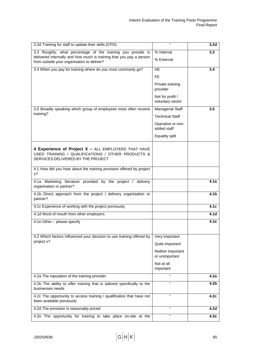| 3.2d Training for staff to update their skills (CPD)                                                              | $\epsilon$                           | 3.2 <sub>d</sub> |
|-------------------------------------------------------------------------------------------------------------------|--------------------------------------|------------------|
| 3.3 Roughly, what percentage of the training you provide is                                                       | % Internal                           | 3.3              |
| delivered internally and how much is training that you pay a person<br>from outside your organisation to deliver? | % External                           |                  |
| 3.4 When you pay for training where do you most commonly go?                                                      | <b>HE</b>                            | 3.4              |
|                                                                                                                   | FE.                                  |                  |
|                                                                                                                   | Private training                     |                  |
|                                                                                                                   | provider                             |                  |
|                                                                                                                   | Not for profit /<br>voluntary sector |                  |
| 3.5 Broadly speaking which group of employees most often receive                                                  | <b>Managerial Staff</b>              | 3.5              |
| training?                                                                                                         | <b>Technical Staff</b>               |                  |
|                                                                                                                   | Operative or non-<br>skilled staff   |                  |
|                                                                                                                   | Equality split                       |                  |
|                                                                                                                   |                                      |                  |
| 4 Experience of Project X - ALL EMPLOYERS THAT HAVE<br>USED TRAINING / QUALIFICATIONS / OTHER PRODUCTS &          |                                      |                  |
| SERVICES DELIVERED BY THE PROJECT                                                                                 |                                      |                  |
| 4.1 How did you hear about the training provision offered by project<br>$x$ ?                                     |                                      |                  |
| 4.1a Marketing literature provided by the project / delivery                                                      |                                      | 4.1a             |
| organisation or partner?                                                                                          |                                      |                  |
| 4.1b Direct approach from the project / delivery organisation or<br>partner?                                      |                                      | 4.1 <sub>b</sub> |
| 4.1c Experience of working with the project previously                                                            |                                      | 4.1c             |
| 4.1d Word of mouth from other employers                                                                           |                                      | 4.1 <sub>d</sub> |
| 4.1e Other - please specify                                                                                       |                                      | 4.1e             |
|                                                                                                                   |                                      |                  |
| 4.2 Which factors influenced your decision to use training offered by<br>project x?                               | Very important                       |                  |
|                                                                                                                   | Quite important                      |                  |
|                                                                                                                   | Neither important<br>or unimportant  |                  |
|                                                                                                                   | Not at all<br>important              |                  |
| 4.2a The reputation of the training provider                                                                      |                                      | 4.2a             |
| 4.2b The ability to offer training that is tailored specifically to the<br>businesses needs                       | $\alpha$                             | 4.2 <sub>b</sub> |
| 4.2c The opportunity to access training / qualification that have not<br>been available previously                | $\mathfrak{c}\mathfrak{c}$           | 4.2c             |
| 4.2d The provision is reasonably priced                                                                           | "                                    | 4.2 <sub>d</sub> |
| 4.2e The opportunity for training to take place on-site at the                                                    | 66                                   | 4.2e             |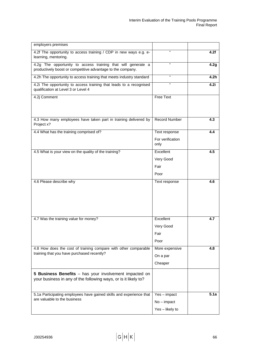| employers premises                                                                                                          |                          |      |
|-----------------------------------------------------------------------------------------------------------------------------|--------------------------|------|
| 4.2f The opportunity to access training / CDP in new ways e.g. e-<br>learning, mentoring.                                   | ££                       | 4.2f |
| 4.2g The opportunity to access training that will generate a<br>productively boost or competitive advantage to the company. | $\alpha$                 | 4.2g |
| 4.2h The opportunity to access training that meets industry standard                                                        | G.                       | 4.2h |
| 4.2i The opportunity to access training that leads to a recognised<br>qualification at Level 3 or Level 4                   | ££                       | 4.2i |
| 4.2j Comment                                                                                                                | Free Text                |      |
| 4.3 How many employees have taken part in training delivered by<br>Project x?                                               | <b>Record Number</b>     | 4.3  |
| 4.4 What has the training comprised of?                                                                                     | Text response            | 4.4  |
|                                                                                                                             | For verification<br>only |      |
| 4.5 What is your view on the quality of the training?                                                                       | Excellent                | 4.5  |
|                                                                                                                             | Very Good                |      |
|                                                                                                                             | Fair                     |      |
|                                                                                                                             | Poor                     |      |
| 4.6 Please describe why                                                                                                     | Text response            | 4.6  |
| 4.7 Was the training value for money?                                                                                       | Excellent                | 4.7  |
|                                                                                                                             | Very Good                |      |
|                                                                                                                             | Fair                     |      |
|                                                                                                                             | Poor                     |      |
| 4.8 How does the cost of training compare with other comparable                                                             | More expensive           | 4.8  |
| training that you have purchased recently?                                                                                  | On a par                 |      |
|                                                                                                                             | Cheaper                  |      |
| 5 Business Benefits - has your involvement impacted on<br>your business in any of the following ways, or is it likely to?   |                          |      |
| 5.1a Participating employees have gained skills and experience that                                                         | $Yes - impact$           | 5.1a |
| are valuable to the business                                                                                                | $No$ – impact            |      |
|                                                                                                                             | Yes - likely to          |      |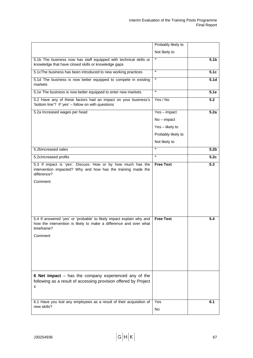|                                                                                                                                                                    | Probably likely to |                  |
|--------------------------------------------------------------------------------------------------------------------------------------------------------------------|--------------------|------------------|
|                                                                                                                                                                    | Not likely to      |                  |
| 5.1b The business now has staff equipped with technical skills or<br>knowledge that have closed skills or knowledge gaps                                           | $\epsilon$         | 5.1 <sub>b</sub> |
| 5.1cThe business has been introduced to new working practices                                                                                                      | $\epsilon$         | 5.1c             |
| 5.1d The business is now better equipped to compete in existing<br>markets                                                                                         | $\epsilon$         | 5.1 <sub>d</sub> |
| 5.1e The business is now better equipped to enter new markets                                                                                                      | $\epsilon$         | 5.1e             |
| 5.2 Have any of these factors had an impact on your business's<br>'bottom line'? If 'yes' - follow on with questions                                               | Yes / No           | 5.2              |
| 5.2a Increased wages per head                                                                                                                                      | $Yes - impact$     | 5.2a             |
|                                                                                                                                                                    | $No$ – impact      |                  |
|                                                                                                                                                                    | Yes - likely to    |                  |
|                                                                                                                                                                    | Probably likely to |                  |
|                                                                                                                                                                    | Not likely to      |                  |
| 5.2blncreased sales                                                                                                                                                | $\epsilon$         | 5.2 <sub>b</sub> |
| 5.2clncreased profits                                                                                                                                              | $\epsilon$         | 5.2 <sub>c</sub> |
| 5.3 If impact is 'yes'. Discuss: How or by how much has the<br>intervention impacted? Why and how has the training made the<br>difference?<br>Comment:             | <b>Free Text</b>   | 5.3              |
| 5.4 If answered 'yes' or 'probable' to likely impact explain why and<br>how the intervention is likely to make a difference and over what<br>timeframe?<br>Comment | <b>Free Text</b>   | 5.4              |
| 6 Net impact $-$ has the company experienced any of the<br>following as a result of accessing provision offered by Project<br>x                                    |                    |                  |
| 6.1 Have you lost any employees as a result of their acquisition of<br>new skills?                                                                                 | Yes<br>No          | 6.1              |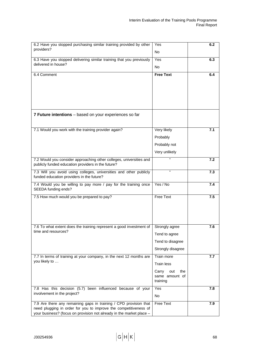| 6.2 Have you stopped purchasing similar training provided by other<br>providers?                                                                                                                              | Yes<br><b>No</b>                                  | 6.2 |
|---------------------------------------------------------------------------------------------------------------------------------------------------------------------------------------------------------------|---------------------------------------------------|-----|
| 6.3 Have you stopped delivering similar training that you previously<br>delivered in house?                                                                                                                   | Yes<br><b>No</b>                                  | 6.3 |
| 6.4 Comment                                                                                                                                                                                                   | <b>Free Text</b>                                  | 6.4 |
| 7 Future intentions - based on your experiences so far                                                                                                                                                        |                                                   |     |
| 7.1 Would you work with the training provider again?                                                                                                                                                          | Very likely                                       | 7.1 |
|                                                                                                                                                                                                               | Probably                                          |     |
|                                                                                                                                                                                                               | Probably not                                      |     |
|                                                                                                                                                                                                               | Very unlikely                                     |     |
| 7.2 Would you consider approaching other colleges, universities and<br>publicly funded education providers in the future?                                                                                     |                                                   | 7.2 |
| 7.3 Will you avoid using colleges, universities and other publicly<br>funded education providers in the future?                                                                                               | $\epsilon$                                        | 7.3 |
| 7.4 Would you be willing to pay more / pay for the training once<br>SEEDA funding ends?                                                                                                                       | Yes / No                                          | 7.4 |
| 7.5 How much would you be prepared to pay?                                                                                                                                                                    | <b>Free Text</b>                                  | 7.5 |
| 7.6 To what extent does the training represent a good investment of                                                                                                                                           | Strongly agree                                    | 7.6 |
| time and resources?                                                                                                                                                                                           | Tend to agree                                     |     |
|                                                                                                                                                                                                               | Tend to disagree                                  |     |
|                                                                                                                                                                                                               | Strongly disagree                                 |     |
| 7.7 In terms of training at your company, in the next 12 months are<br>you likely to                                                                                                                          | Train more                                        | 7.7 |
|                                                                                                                                                                                                               | Train less                                        |     |
|                                                                                                                                                                                                               | Carry<br>the<br>out<br>same amount of<br>training |     |
| 7.8 Has this decision (5.7) been influenced because of your                                                                                                                                                   | Yes                                               | 7.8 |
| involvement in the project?                                                                                                                                                                                   | <b>No</b>                                         |     |
| 7.9 Are there any remaining gaps in training / CPD provision that<br>need plugging in order for you to improve the competitiveness of<br>your business? (focus on provision not already in the market place - | <b>Free Text</b>                                  | 7.9 |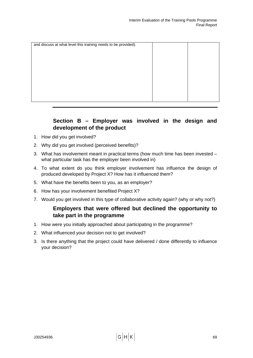| and discuss at what level this training needs to be provided). |  |
|----------------------------------------------------------------|--|
|                                                                |  |
|                                                                |  |
|                                                                |  |
|                                                                |  |
|                                                                |  |
|                                                                |  |
|                                                                |  |
|                                                                |  |

## **Section B – Employer was involved in the design and development of the product**

- 1. How did you get involved?
- 2. Why did you get involved (perceived benefits)?
- 3. What has involvement meant in practical terms (how much time has been invested what particular task has the employer been involved in)
- 4. To what extent do you think employer involvement has influence the design of produced developed by Project X? How has it influenced them?
- 5. What have the benefits been to you, as an employer?
- 6. How has your involvement benefited Project X?
- 7. Would you get involved in this type of collaborative activity again? (why or why not?)

## **Employers that were offered but declined the opportunity to take part in the programme**

- 1. How were you initially approached about participating in the programme?
- 2. What influenced your decision not to get involved?
- 3. Is there anything that the project could have delivered / done differently to influence your decision?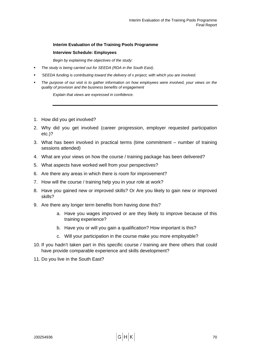### **Interim Evaluation of the Training Pools Programme**

### **Interview Schedule: Employees**

*Begin by explaining the objectives of the study:* 

- *The study is being carried out for SEEDA (RDA in the South East).*
- *'SEEDA funding is contributing toward the delivery of x project, with which you are involved.*
- *The purpose of our visit is to gather information on how employees were involved, your views on the quality of provision and the business benefits of engagement*

*Explain that views are expressed in confidence.* 

- 1. How did you get involved?
- 2. Why did you get involved (career progression, employer requested participation etc.)?
- 3. What has been involved in practical terms (time commitment number of training sessions attended)
- 4. What are your views on how the course / training package has been delivered?
- 5. What aspects have worked well from your perspectives?
- 6. Are there any areas in which there is room for improvement?
- 7. How will the course / training help you in your role at work?
- 8. Have you gained new or improved skills? Or Are you likely to gain new or improved skills?
- 9. Are there any longer term benefits from having done this?
	- a. Have you wages improved or are they likely to improve because of this training experience?
	- b. Have you or will you gain a qualification? How important is this?
	- c. Will your participation in the course make you more employable?
- 10. If you hadn't taken part in this specific course / training are there others that could have provide comparable experience and skills development?
- 11. Do you live in the South East?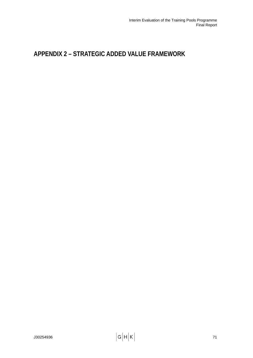# **APPENDIX 2 – STRATEGIC ADDED VALUE FRAMEWORK**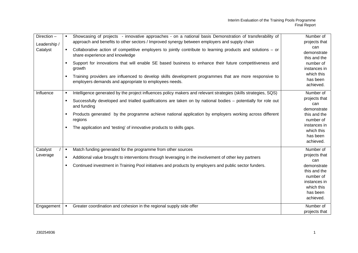| Direction-<br>Leadership /<br>Catalyst | Showcasing of projects - innovative approaches - on a national basis Demonstration of transferability of<br>approach and benefits to other sectors / Improved synergy between employers and supply chain<br>Collaborative action of competitive employers to jointly contribute to learning products and solutions – or<br>$\blacksquare$<br>share experience and knowledge<br>Support for innovations that will enable SE based business to enhance their future competitiveness and<br>$\blacksquare$<br>growth<br>Training providers are influenced to develop skills development programmes that are more responsive to<br>$\blacksquare$<br>employers demands and appropriate to employees needs. | Number of<br>projects that<br>can<br>demonstrate<br>this and the<br>number of<br>instances in<br>which this<br>has been<br>achieved.              |
|----------------------------------------|--------------------------------------------------------------------------------------------------------------------------------------------------------------------------------------------------------------------------------------------------------------------------------------------------------------------------------------------------------------------------------------------------------------------------------------------------------------------------------------------------------------------------------------------------------------------------------------------------------------------------------------------------------------------------------------------------------|---------------------------------------------------------------------------------------------------------------------------------------------------|
| Influence                              | Intelligence generated by the project influences policy makers and relevant strategies (skills strategies, SQS)<br>٠<br>Successfully developed and trialled qualifications are taken on by national bodies - potentially for role out<br>$\blacksquare$<br>and funding<br>Products generated by the programme achieve national application by employers working across different<br>٠<br>regions<br>The application and 'testing' of innovative products to skills gaps.<br>٠                                                                                                                                                                                                                          | Number of<br>projects that<br>can<br>demonstrate<br>this and the<br>number of<br>instances in<br>which this<br>has been<br>achieved.              |
| Catalyst<br>Leverage<br>Engagement     | Match funding generated for the programme from other sources<br>٠<br>Additional value brought to interventions through leveraging in the involvement of other key partners<br>٠<br>Continued investment in Training Pool initiatives and products by employers and public sector funders.<br>$\blacksquare$<br>Greater coordination and cohesion in the regional supply side offer<br>٠                                                                                                                                                                                                                                                                                                                | Number of<br>projects that<br>can<br>demonstrate<br>this and the<br>number of<br>instances in<br>which this<br>has been<br>achieved.<br>Number of |
|                                        |                                                                                                                                                                                                                                                                                                                                                                                                                                                                                                                                                                                                                                                                                                        | projects that                                                                                                                                     |